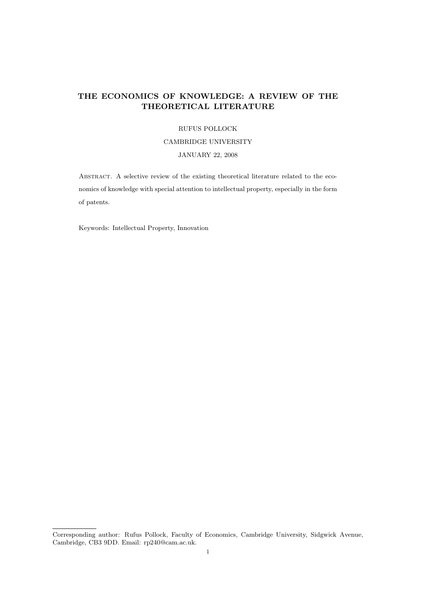## THE ECONOMICS OF KNOWLEDGE: A REVIEW OF THE THEORETICAL LITERATURE

#### RUFUS POLLOCK

#### CAMBRIDGE UNIVERSITY

### JANUARY 22, 2008

ABSTRACT. A selective review of the existing theoretical literature related to the economics of knowledge with special attention to intellectual property, especially in the form of patents.

Keywords: Intellectual Property, Innovation

Corresponding author: Rufus Pollock, Faculty of Economics, Cambridge University, Sidgwick Avenue, Cambridge, CB3 9DD. Email: rp240@cam.ac.uk.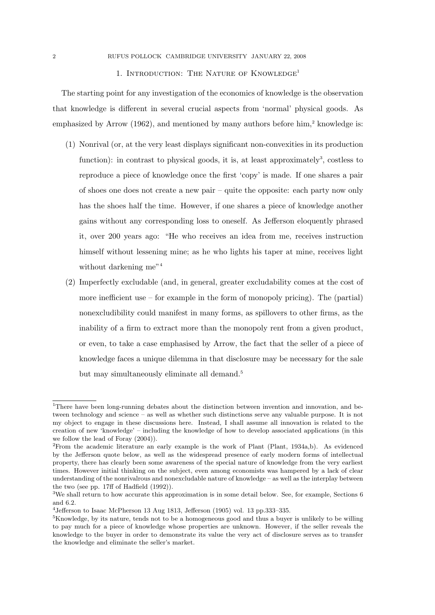#### 1. INTRODUCTION: THE NATURE OF KNOWLEDGE<sup>1</sup>

The starting point for any investigation of the economics of knowledge is the observation that knowledge is different in several crucial aspects from 'normal' physical goods. As emphasized by Arrow  $(1962)$ , and mentioned by many authors before him,<sup>2</sup> knowledge is:

- (1) Nonrival (or, at the very least displays significant non-convexities in its production function): in contrast to physical goods, it is, at least approximately<sup>3</sup>, costless to reproduce a piece of knowledge once the first 'copy' is made. If one shares a pair of shoes one does not create a new pair – quite the opposite: each party now only has the shoes half the time. However, if one shares a piece of knowledge another gains without any corresponding loss to oneself. As Jefferson eloquently phrased it, over 200 years ago: "He who receives an idea from me, receives instruction himself without lessening mine; as he who lights his taper at mine, receives light without darkening me"<sup>4</sup>
- (2) Imperfectly excludable (and, in general, greater excludability comes at the cost of more inefficient use – for example in the form of monopoly pricing). The (partial) nonexcludibility could manifest in many forms, as spillovers to other firms, as the inability of a firm to extract more than the monopoly rent from a given product, or even, to take a case emphasised by Arrow, the fact that the seller of a piece of knowledge faces a unique dilemma in that disclosure may be necessary for the sale but may simultaneously eliminate all demand.<sup>5</sup>

<sup>&</sup>lt;sup>1</sup>There have been long-running debates about the distinction between invention and innovation, and between technology and science – as well as whether such distinctions serve any valuable purpose. It is not my object to engage in these discussions here. Instead, I shall assume all innovation is related to the creation of new 'knowledge' – including the knowledge of how to develop associated applications (in this we follow the lead of Foray (2004)).

<sup>2</sup>From the academic literature an early example is the work of Plant (Plant, 1934a,b). As evidenced by the Jefferson quote below, as well as the widespread presence of early modern forms of intellectual property, there has clearly been some awareness of the special nature of knowledge from the very earliest times. However initial thinking on the subject, even among economists was hampered by a lack of clear understanding of the nonrivalrous and nonexcludable nature of knowledge – as well as the interplay between the two (see pp. 17ff of Hadfield (1992)).

<sup>3</sup>We shall return to how accurate this approximation is in some detail below. See, for example, Sections 6 and 6.2.

<sup>4</sup>Jefferson to Isaac McPherson 13 Aug 1813, Jefferson (1905) vol. 13 pp.333–335.

<sup>5</sup>Knowledge, by its nature, tends not to be a homogeneous good and thus a buyer is unlikely to be willing to pay much for a piece of knowledge whose properties are unknown. However, if the seller reveals the knowledge to the buyer in order to demonstrate its value the very act of disclosure serves as to transfer the knowledge and eliminate the seller's market.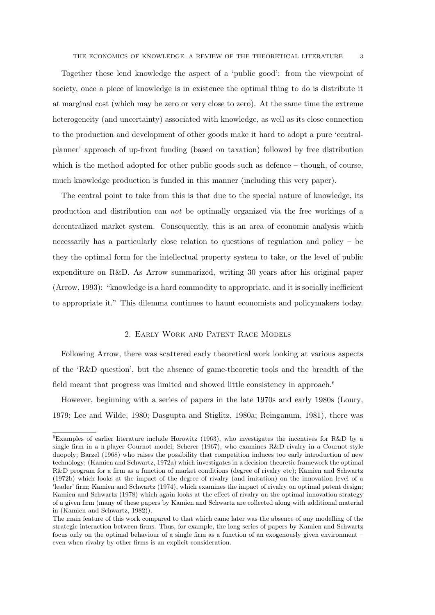Together these lend knowledge the aspect of a 'public good': from the viewpoint of society, once a piece of knowledge is in existence the optimal thing to do is distribute it at marginal cost (which may be zero or very close to zero). At the same time the extreme heterogeneity (and uncertainty) associated with knowledge, as well as its close connection to the production and development of other goods make it hard to adopt a pure 'centralplanner' approach of up-front funding (based on taxation) followed by free distribution which is the method adopted for other public goods such as defence – though, of course, much knowledge production is funded in this manner (including this very paper).

The central point to take from this is that due to the special nature of knowledge, its production and distribution can not be optimally organized via the free workings of a decentralized market system. Consequently, this is an area of economic analysis which necessarily has a particularly close relation to questions of regulation and policy – be they the optimal form for the intellectual property system to take, or the level of public expenditure on R&D. As Arrow summarized, writing 30 years after his original paper (Arrow, 1993): "knowledge is a hard commodity to appropriate, and it is socially inefficient to appropriate it." This dilemma continues to haunt economists and policymakers today.

#### 2. Early Work and Patent Race Models

Following Arrow, there was scattered early theoretical work looking at various aspects of the 'R&D question', but the absence of game-theoretic tools and the breadth of the field meant that progress was limited and showed little consistency in approach.<sup>6</sup>

However, beginning with a series of papers in the late 1970s and early 1980s (Loury, 1979; Lee and Wilde, 1980; Dasgupta and Stiglitz, 1980a; Reinganum, 1981), there was

<sup>6</sup>Examples of earlier literature include Horowitz (1963), who investigates the incentives for R&D by a single firm in a n-player Cournot model; Scherer (1967), who examines R&D rivalry in a Cournot-style duopoly; Barzel (1968) who raises the possibility that competition induces too early introduction of new technology; (Kamien and Schwartz, 1972a) which investigates in a decision-theoretic framework the optimal R&D program for a firm as a function of market conditions (degree of rivalry etc); Kamien and Schwartz (1972b) which looks at the impact of the degree of rivalry (and imitation) on the innovation level of a 'leader' firm; Kamien and Schwartz (1974), which examines the impact of rivalry on optimal patent design; Kamien and Schwartz (1978) which again looks at the effect of rivalry on the optimal innovation strategy of a given firm (many of these papers by Kamien and Schwartz are collected along with additional material in (Kamien and Schwartz, 1982)).

The main feature of this work compared to that which came later was the absence of any modelling of the strategic interaction between firms. Thus, for example, the long series of papers by Kamien and Schwartz focus only on the optimal behaviour of a single firm as a function of an exogenously given environment – even when rivalry by other firms is an explicit consideration.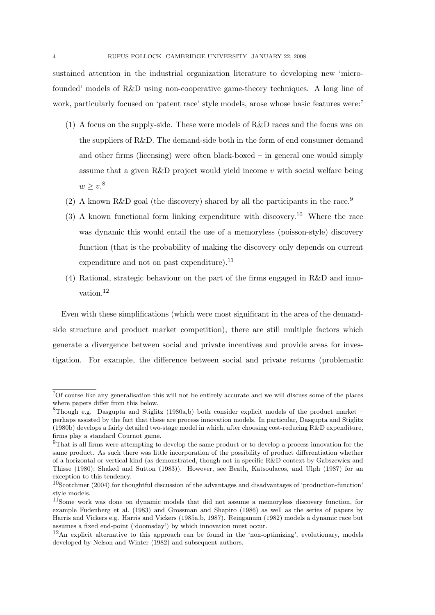sustained attention in the industrial organization literature to developing new 'microfounded' models of R&D using non-cooperative game-theory techniques. A long line of work, particularly focused on 'patent race' style models, arose whose basic features were:<sup>7</sup>

- (1) A focus on the supply-side. These were models of R&D races and the focus was on the suppliers of R&D. The demand-side both in the form of end consumer demand and other firms (licensing) were often black-boxed – in general one would simply assume that a given  $R&D$  project would yield income v with social welfare being  $w \geq v^8$
- (2) A known R&D goal (the discovery) shared by all the participants in the race.<sup>9</sup>
- (3) A known functional form linking expenditure with discovery.<sup>10</sup> Where the race was dynamic this would entail the use of a memoryless (poisson-style) discovery function (that is the probability of making the discovery only depends on current expenditure and not on past expenditure). $^{11}$
- (4) Rational, strategic behaviour on the part of the firms engaged in R&D and innovation.<sup>12</sup>

Even with these simplifications (which were most significant in the area of the demandside structure and product market competition), there are still multiple factors which generate a divergence between social and private incentives and provide areas for investigation. For example, the difference between social and private returns (problematic

<sup>7</sup>Of course like any generalisation this will not be entirely accurate and we will discuss some of the places where papers differ from this below.

<sup>8</sup>Though e.g. Dasgupta and Stiglitz (1980a,b) both consider explicit models of the product market – perhaps assisted by the fact that these are process innovation models. In particular, Dasgupta and Stiglitz (1980b) develops a fairly detailed two-stage model in which, after choosing cost-reducing R&D expenditure, firms play a standard Cournot game.

<sup>9</sup>That is all firms were attempting to develop the same product or to develop a process innovation for the same product. As such there was little incorporation of the possibility of product differentiation whether of a horizontal or vertical kind (as demonstrated, though not in specific R&D context by Gabszewicz and Thisse (1980); Shaked and Sutton (1983)). However, see Beath, Katsoulacos, and Ulph (1987) for an exception to this tendency.

<sup>10</sup>Scotchmer (2004) for thoughtful discussion of the advantages and disadvantages of 'production-function' style models.

<sup>11</sup>Some work was done on dynamic models that did not assume a memoryless discovery function, for example Fudenberg et al. (1983) and Grossman and Shapiro (1986) as well as the series of papers by Harris and Vickers e.g. Harris and Vickers (1985a,b, 1987). Reinganum (1982) models a dynamic race but assumes a fixed end-point ('doomsday') by which innovation must occur.

 $12$ An explicit alternative to this approach can be found in the 'non-optimizing', evolutionary, models developed by Nelson and Winter (1982) and subsequent authors.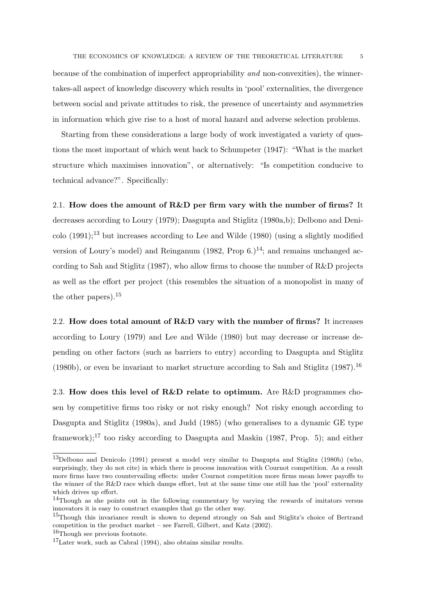because of the combination of imperfect appropriability and non-convexities), the winnertakes-all aspect of knowledge discovery which results in 'pool' externalities, the divergence between social and private attitudes to risk, the presence of uncertainty and asymmetries in information which give rise to a host of moral hazard and adverse selection problems.

Starting from these considerations a large body of work investigated a variety of questions the most important of which went back to Schumpeter (1947): "What is the market structure which maximises innovation", or alternatively: "Is competition conducive to technical advance?". Specifically:

2.1. How does the amount of  $R\&D$  per firm vary with the number of firms? It decreases according to Loury (1979); Dasgupta and Stiglitz (1980a,b); Delbono and Deni- $\text{colo } (1991);^{13}$  but increases according to Lee and Wilde (1980) (using a slightly modified version of Loury's model) and Reinganum (1982, Prop  $6.14$ ; and remains unchanged according to Sah and Stiglitz (1987), who allow firms to choose the number of R&D projects as well as the effort per project (this resembles the situation of a monopolist in many of the other papers).<sup>15</sup>

2.2. How does total amount of R&D vary with the number of firms? It increases according to Loury (1979) and Lee and Wilde (1980) but may decrease or increase depending on other factors (such as barriers to entry) according to Dasgupta and Stiglitz (1980b), or even be invariant to market structure according to Sah and Stiglitz (1987).<sup>16</sup>

2.3. How does this level of  $R\&D$  relate to optimum. Are R&D programmes chosen by competitive firms too risky or not risky enough? Not risky enough according to Dasgupta and Stiglitz (1980a), and Judd (1985) (who generalises to a dynamic GE type framework);<sup>17</sup> too risky according to Dasgupta and Maskin (1987, Prop. 5); and either

<sup>13</sup>Delbono and Denicolo (1991) present a model very similar to Dasgupta and Stiglitz (1980b) (who, surprisingly, they do not cite) in which there is process innovation with Cournot competition. As a result more firms have two countervailing effects: under Cournot competition more firms mean lower payoffs to the winner of the R&D race which damps effort, but at the same time one still has the 'pool' externality which drives up effort.

<sup>14</sup>Though as she points out in the following commentary by varying the rewards of imitators versus innovators it is easy to construct examples that go the other way.

<sup>&</sup>lt;sup>15</sup>Though this invariance result is shown to depend strongly on Sah and Stiglitz's choice of Bertrand competition in the product market – see Farrell, Gilbert, and Katz (2002).

<sup>16</sup>Though see previous footnote.

<sup>17</sup>Later work, such as Cabral (1994), also obtains similar results.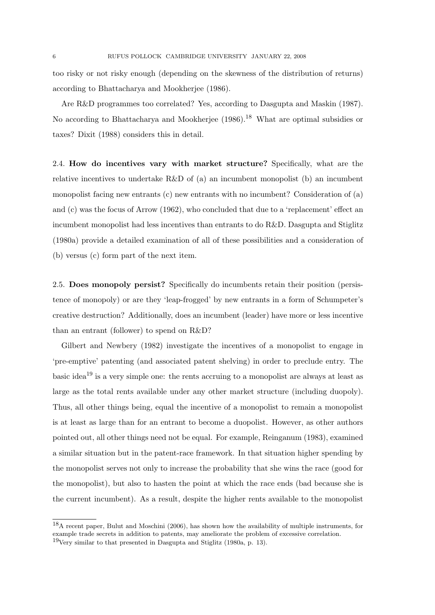too risky or not risky enough (depending on the skewness of the distribution of returns) according to Bhattacharya and Mookherjee (1986).

Are R&D programmes too correlated? Yes, according to Dasgupta and Maskin (1987). No according to Bhattacharya and Mookherjee (1986).<sup>18</sup> What are optimal subsidies or taxes? Dixit (1988) considers this in detail.

2.4. How do incentives vary with market structure? Specifically, what are the relative incentives to undertake  $R\&D$  of (a) an incumbent monopolist (b) an incumbent monopolist facing new entrants (c) new entrants with no incumbent? Consideration of (a) and (c) was the focus of Arrow (1962), who concluded that due to a 'replacement' effect an incumbent monopolist had less incentives than entrants to do R&D. Dasgupta and Stiglitz (1980a) provide a detailed examination of all of these possibilities and a consideration of (b) versus (c) form part of the next item.

2.5. Does monopoly persist? Specifically do incumbents retain their position (persistence of monopoly) or are they 'leap-frogged' by new entrants in a form of Schumpeter's creative destruction? Additionally, does an incumbent (leader) have more or less incentive than an entrant (follower) to spend on R&D?

Gilbert and Newbery (1982) investigate the incentives of a monopolist to engage in 'pre-emptive' patenting (and associated patent shelving) in order to preclude entry. The basic idea<sup>19</sup> is a very simple one: the rents accruing to a monopolist are always at least as large as the total rents available under any other market structure (including duopoly). Thus, all other things being, equal the incentive of a monopolist to remain a monopolist is at least as large than for an entrant to become a duopolist. However, as other authors pointed out, all other things need not be equal. For example, Reinganum (1983), examined a similar situation but in the patent-race framework. In that situation higher spending by the monopolist serves not only to increase the probability that she wins the race (good for the monopolist), but also to hasten the point at which the race ends (bad because she is the current incumbent). As a result, despite the higher rents available to the monopolist

<sup>18</sup>A recent paper, Bulut and Moschini (2006), has shown how the availability of multiple instruments, for example trade secrets in addition to patents, may ameliorate the problem of excessive correlation.  $19$ Very similar to that presented in Dasgupta and Stiglitz (1980a, p. 13).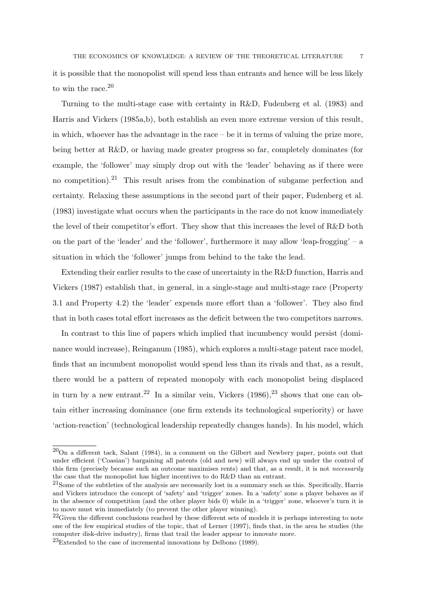it is possible that the monopolist will spend less than entrants and hence will be less likely to win the race.<sup>20</sup>

Turning to the multi-stage case with certainty in R&D, Fudenberg et al. (1983) and Harris and Vickers (1985a,b), both establish an even more extreme version of this result, in which, whoever has the advantage in the race  $-$  be it in terms of valuing the prize more, being better at R&D, or having made greater progress so far, completely dominates (for example, the 'follower' may simply drop out with the 'leader' behaving as if there were no competition).<sup>21</sup> This result arises from the combination of subgame perfection and certainty. Relaxing these assumptions in the second part of their paper, Fudenberg et al. (1983) investigate what occurs when the participants in the race do not know immediately the level of their competitor's effort. They show that this increases the level of R&D both on the part of the 'leader' and the 'follower', furthermore it may allow 'leap-frogging' – a situation in which the 'follower' jumps from behind to the take the lead.

Extending their earlier results to the case of uncertainty in the R&D function, Harris and Vickers (1987) establish that, in general, in a single-stage and multi-stage race (Property 3.1 and Property 4.2) the 'leader' expends more effort than a 'follower'. They also find that in both cases total effort increases as the deficit between the two competitors narrows.

In contrast to this line of papers which implied that incumbency would persist (dominance would increase), Reinganum (1985), which explores a multi-stage patent race model, finds that an incumbent monopolist would spend less than its rivals and that, as a result, there would be a pattern of repeated monopoly with each monopolist being displaced in turn by a new entrant.<sup>22</sup> In a similar vein, Vickers  $(1986)$ ,<sup>23</sup> shows that one can obtain either increasing dominance (one firm extends its technological superiority) or have 'action-reaction' (technological leadership repeatedly changes hands). In his model, which

<sup>20</sup>On a different tack, Salant (1984), in a comment on the Gilbert and Newbery paper, points out that under efficient ('Coasian') bargaining all patents (old and new) will always end up under the control of this firm (precisely because such an outcome maximises rents) and that, as a result, it is not necessarily the case that the monopolist has higher incentives to do R&D than an entrant.

<sup>21</sup>Some of the subtleties of the analysis are necessarily lost in a summary such as this. Specifically, Harris and Vickers introduce the concept of 'safety' and 'trigger' zones. In a 'safety' zone a player behaves as if in the absence of competition (and the other player bids 0) while in a 'trigger' zone, whoever's turn it is to move must win immediately (to prevent the other player winning).

 $^{22}$ Given the different conclusions reached by these different sets of models it is perhaps interesting to note one of the few empirical studies of the topic, that of Lerner (1997), finds that, in the area he studies (the computer disk-drive industry), firms that trail the leader appear to innovate more.

 $^{23}$ Extended to the case of incremental innovations by Delbono (1989).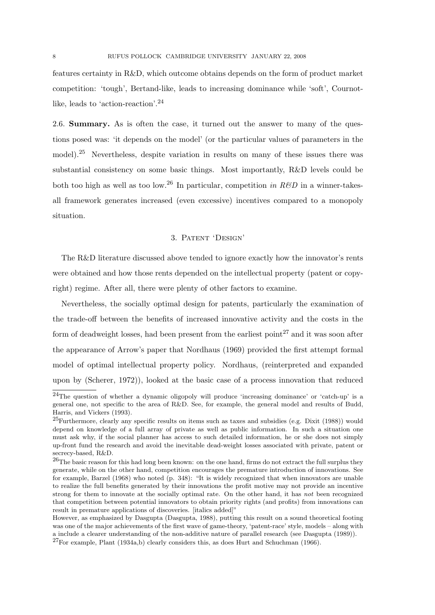features certainty in R&D, which outcome obtains depends on the form of product market competition: 'tough', Bertand-like, leads to increasing dominance while 'soft', Cournotlike, leads to 'action-reaction'.<sup>24</sup>

2.6. Summary. As is often the case, it turned out the answer to many of the questions posed was: 'it depends on the model' (or the particular values of parameters in the model).<sup>25</sup> Nevertheless, despite variation in results on many of these issues there was substantial consistency on some basic things. Most importantly, R&D levels could be both too high as well as too low.<sup>26</sup> In particular, competition in  $R\&D$  in a winner-takesall framework generates increased (even excessive) incentives compared to a monopoly situation.

### 3. Patent 'Design'

The R&D literature discussed above tended to ignore exactly how the innovator's rents were obtained and how those rents depended on the intellectual property (patent or copyright) regime. After all, there were plenty of other factors to examine.

Nevertheless, the socially optimal design for patents, particularly the examination of the trade-off between the benefits of increased innovative activity and the costs in the form of deadweight losses, had been present from the earliest point<sup>27</sup> and it was soon after the appearance of Arrow's paper that Nordhaus (1969) provided the first attempt formal model of optimal intellectual property policy. Nordhaus, (reinterpreted and expanded upon by (Scherer, 1972)), looked at the basic case of a process innovation that reduced

<sup>24</sup>The question of whether a dynamic oligopoly will produce 'increasing dominance' or 'catch-up' is a general one, not specific to the area of R&D. See, for example, the general model and results of Budd, Harris, and Vickers (1993).

 $25$ Furthermore, clearly any specific results on items such as taxes and subsidies (e.g. Dixit (1988)) would depend on knowledge of a full array of private as well as public information. In such a situation one must ask why, if the social planner has access to such detailed information, he or she does not simply up-front fund the research and avoid the inevitable dead-weight losses associated with private, patent or secrecy-based, R&D.

<sup>&</sup>lt;sup>26</sup>The basic reason for this had long been known: on the one hand, firms do not extract the full surplus they generate, while on the other hand, competition encourages the premature introduction of innovations. See for example, Barzel (1968) who noted (p. 348): "It is widely recognized that when innovators are unable to realize the full benefits generated by their innovations the profit motive may not provide an incentive strong for them to innovate at the socially optimal rate. On the other hand, it has not been recognized that competition between potential innovators to obtain priority rights (and profits) from innovations can result in premature applications of discoveries. [italics added]"

However, as emphasized by Dasgupta (Dasgupta, 1988), putting this result on a sound theoretical footing was one of the major achievements of the first wave of game-theory, 'patent-race' style, models – along with a include a clearer understanding of the non-additive nature of parallel research (see Dasgupta (1989)).

<sup>27</sup>For example, Plant (1934a,b) clearly considers this, as does Hurt and Schuchman (1966).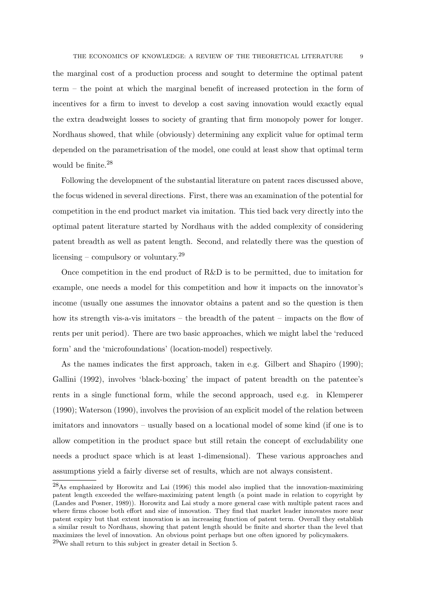the marginal cost of a production process and sought to determine the optimal patent term – the point at which the marginal benefit of increased protection in the form of incentives for a firm to invest to develop a cost saving innovation would exactly equal the extra deadweight losses to society of granting that firm monopoly power for longer. Nordhaus showed, that while (obviously) determining any explicit value for optimal term depended on the parametrisation of the model, one could at least show that optimal term would be finite.<sup>28</sup>

Following the development of the substantial literature on patent races discussed above, the focus widened in several directions. First, there was an examination of the potential for competition in the end product market via imitation. This tied back very directly into the optimal patent literature started by Nordhaus with the added complexity of considering patent breadth as well as patent length. Second, and relatedly there was the question of licensing – compulsory or voluntary.<sup>29</sup>

Once competition in the end product of  $R\&D$  is to be permitted, due to imitation for example, one needs a model for this competition and how it impacts on the innovator's income (usually one assumes the innovator obtains a patent and so the question is then how its strength vis-a-vis imitators – the breadth of the patent – impacts on the flow of rents per unit period). There are two basic approaches, which we might label the 'reduced form' and the 'microfoundations' (location-model) respectively.

As the names indicates the first approach, taken in e.g. Gilbert and Shapiro (1990); Gallini (1992), involves 'black-boxing' the impact of patent breadth on the patentee's rents in a single functional form, while the second approach, used e.g. in Klemperer (1990); Waterson (1990), involves the provision of an explicit model of the relation between imitators and innovators – usually based on a locational model of some kind (if one is to allow competition in the product space but still retain the concept of excludability one needs a product space which is at least 1-dimensional). These various approaches and assumptions yield a fairly diverse set of results, which are not always consistent.

<sup>28</sup>As emphasized by Horowitz and Lai (1996) this model also implied that the innovation-maximizing patent length exceeded the welfare-maximizing patent length (a point made in relation to copyright by (Landes and Posner, 1989)). Horowitz and Lai study a more general case with multiple patent races and where firms choose both effort and size of innovation. They find that market leader innovates more near patent expiry but that extent innovation is an increasing function of patent term. Overall they establish a similar result to Nordhaus, showing that patent length should be finite and shorter than the level that maximizes the level of innovation. An obvious point perhaps but one often ignored by policymakers. <sup>29</sup>We shall return to this subject in greater detail in Section 5.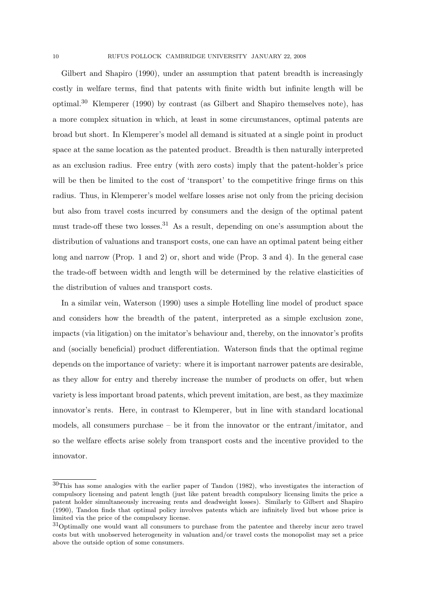Gilbert and Shapiro (1990), under an assumption that patent breadth is increasingly costly in welfare terms, find that patents with finite width but infinite length will be optimal.<sup>30</sup> Klemperer (1990) by contrast (as Gilbert and Shapiro themselves note), has a more complex situation in which, at least in some circumstances, optimal patents are broad but short. In Klemperer's model all demand is situated at a single point in product space at the same location as the patented product. Breadth is then naturally interpreted as an exclusion radius. Free entry (with zero costs) imply that the patent-holder's price will be then be limited to the cost of 'transport' to the competitive fringe firms on this radius. Thus, in Klemperer's model welfare losses arise not only from the pricing decision but also from travel costs incurred by consumers and the design of the optimal patent must trade-off these two losses.<sup>31</sup> As a result, depending on one's assumption about the distribution of valuations and transport costs, one can have an optimal patent being either long and narrow (Prop. 1 and 2) or, short and wide (Prop. 3 and 4). In the general case the trade-off between width and length will be determined by the relative elasticities of the distribution of values and transport costs.

In a similar vein, Waterson (1990) uses a simple Hotelling line model of product space and considers how the breadth of the patent, interpreted as a simple exclusion zone, impacts (via litigation) on the imitator's behaviour and, thereby, on the innovator's profits and (socially beneficial) product differentiation. Waterson finds that the optimal regime depends on the importance of variety: where it is important narrower patents are desirable, as they allow for entry and thereby increase the number of products on offer, but when variety is less important broad patents, which prevent imitation, are best, as they maximize innovator's rents. Here, in contrast to Klemperer, but in line with standard locational models, all consumers purchase – be it from the innovator or the entrant/imitator, and so the welfare effects arise solely from transport costs and the incentive provided to the innovator.

<sup>30</sup>This has some analogies with the earlier paper of Tandon (1982), who investigates the interaction of compulsory licensing and patent length (just like patent breadth compulsory licensing limits the price a patent holder simultaneously increasing rents and deadweight losses). Similarly to Gilbert and Shapiro (1990), Tandon finds that optimal policy involves patents which are infinitely lived but whose price is limited via the price of the compulsory license.

<sup>31</sup>Optimally one would want all consumers to purchase from the patentee and thereby incur zero travel costs but with unobserved heterogeneity in valuation and/or travel costs the monopolist may set a price above the outside option of some consumers.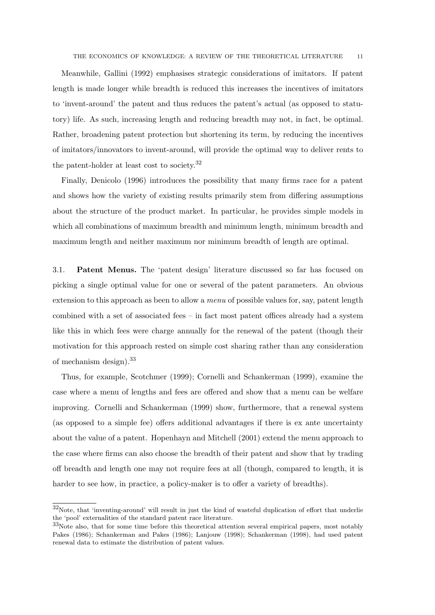Meanwhile, Gallini (1992) emphasises strategic considerations of imitators. If patent length is made longer while breadth is reduced this increases the incentives of imitators to 'invent-around' the patent and thus reduces the patent's actual (as opposed to statutory) life. As such, increasing length and reducing breadth may not, in fact, be optimal. Rather, broadening patent protection but shortening its term, by reducing the incentives of imitators/innovators to invent-around, will provide the optimal way to deliver rents to the patent-holder at least cost to society.<sup>32</sup>

Finally, Denicolo (1996) introduces the possibility that many firms race for a patent and shows how the variety of existing results primarily stem from differing assumptions about the structure of the product market. In particular, he provides simple models in which all combinations of maximum breadth and minimum length, minimum breadth and maximum length and neither maximum nor minimum breadth of length are optimal.

3.1. Patent Menus. The 'patent design' literature discussed so far has focused on picking a single optimal value for one or several of the patent parameters. An obvious extension to this approach as been to allow a *menu* of possible values for, say, patent length combined with a set of associated fees – in fact most patent offices already had a system like this in which fees were charge annually for the renewal of the patent (though their motivation for this approach rested on simple cost sharing rather than any consideration of mechanism design).<sup>33</sup>

Thus, for example, Scotchmer (1999); Cornelli and Schankerman (1999), examine the case where a menu of lengths and fees are offered and show that a menu can be welfare improving. Cornelli and Schankerman (1999) show, furthermore, that a renewal system (as opposed to a simple fee) offers additional advantages if there is ex ante uncertainty about the value of a patent. Hopenhayn and Mitchell (2001) extend the menu approach to the case where firms can also choose the breadth of their patent and show that by trading off breadth and length one may not require fees at all (though, compared to length, it is harder to see how, in practice, a policy-maker is to offer a variety of breadths).

<sup>32</sup>Note, that 'inventing-around' will result in just the kind of wasteful duplication of effort that underlie the 'pool' externalities of the standard patent race literature.

<sup>33</sup>Note also, that for some time before this theoretical attention several empirical papers, most notably Pakes (1986); Schankerman and Pakes (1986); Lanjouw (1998); Schankerman (1998), had used patent renewal data to estimate the distribution of patent values.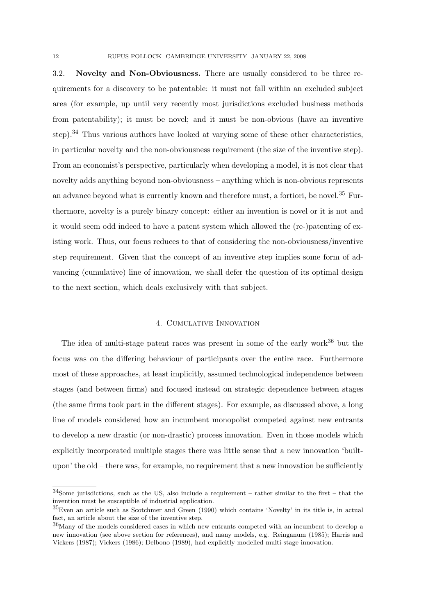3.2. Novelty and Non-Obviousness. There are usually considered to be three requirements for a discovery to be patentable: it must not fall within an excluded subject area (for example, up until very recently most jurisdictions excluded business methods from patentability); it must be novel; and it must be non-obvious (have an inventive step).<sup>34</sup> Thus various authors have looked at varying some of these other characteristics, in particular novelty and the non-obviousness requirement (the size of the inventive step). From an economist's perspective, particularly when developing a model, it is not clear that novelty adds anything beyond non-obviousness – anything which is non-obvious represents an advance beyond what is currently known and therefore must, a fortiori, be novel.<sup>35</sup> Furthermore, novelty is a purely binary concept: either an invention is novel or it is not and it would seem odd indeed to have a patent system which allowed the (re-)patenting of existing work. Thus, our focus reduces to that of considering the non-obviousness/inventive step requirement. Given that the concept of an inventive step implies some form of advancing (cumulative) line of innovation, we shall defer the question of its optimal design to the next section, which deals exclusively with that subject.

## 4. Cumulative Innovation

The idea of multi-stage patent races was present in some of the early work $36$  but the focus was on the differing behaviour of participants over the entire race. Furthermore most of these approaches, at least implicitly, assumed technological independence between stages (and between firms) and focused instead on strategic dependence between stages (the same firms took part in the different stages). For example, as discussed above, a long line of models considered how an incumbent monopolist competed against new entrants to develop a new drastic (or non-drastic) process innovation. Even in those models which explicitly incorporated multiple stages there was little sense that a new innovation 'builtupon' the  $old$  – there was, for example, no requirement that a new innovation be sufficiently

<sup>34</sup>Some jurisdictions, such as the US, also include a requirement – rather similar to the first – that the invention must be susceptible of industrial application.

<sup>35</sup>Even an article such as Scotchmer and Green (1990) which contains 'Novelty' in its title is, in actual fact, an article about the size of the inventive step.

 $36$ Many of the models considered cases in which new entrants competed with an incumbent to develop a new innovation (see above section for references), and many models, e.g. Reinganum (1985); Harris and Vickers (1987); Vickers (1986); Delbono (1989), had explicitly modelled multi-stage innovation.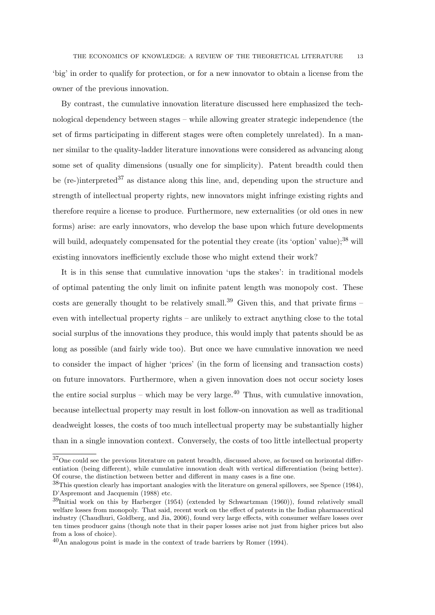'big' in order to qualify for protection, or for a new innovator to obtain a license from the owner of the previous innovation.

By contrast, the cumulative innovation literature discussed here emphasized the technological dependency between stages – while allowing greater strategic independence (the set of firms participating in different stages were often completely unrelated). In a manner similar to the quality-ladder literature innovations were considered as advancing along some set of quality dimensions (usually one for simplicity). Patent breadth could then be (re-)interpreted<sup>37</sup> as distance along this line, and, depending upon the structure and strength of intellectual property rights, new innovators might infringe existing rights and therefore require a license to produce. Furthermore, new externalities (or old ones in new forms) arise: are early innovators, who develop the base upon which future developments will build, adequately compensated for the potential they create (its 'option' value);<sup>38</sup> will existing innovators inefficiently exclude those who might extend their work?

It is in this sense that cumulative innovation 'ups the stakes': in traditional models of optimal patenting the only limit on infinite patent length was monopoly cost. These costs are generally thought to be relatively small.<sup>39</sup> Given this, and that private firms – even with intellectual property rights – are unlikely to extract anything close to the total social surplus of the innovations they produce, this would imply that patents should be as long as possible (and fairly wide too). But once we have cumulative innovation we need to consider the impact of higher 'prices' (in the form of licensing and transaction costs) on future innovators. Furthermore, when a given innovation does not occur society loses the entire social surplus – which may be very large.<sup>40</sup> Thus, with cumulative innovation, because intellectual property may result in lost follow-on innovation as well as traditional deadweight losses, the costs of too much intellectual property may be substantially higher than in a single innovation context. Conversely, the costs of too little intellectual property

<sup>37</sup>One could see the previous literature on patent breadth, discussed above, as focused on horizontal differentiation (being different), while cumulative innovation dealt with vertical differentiation (being better). Of course, the distinction between better and different in many cases is a fine one.

<sup>38</sup>This question clearly has important analogies with the literature on general spillovers, see Spence (1984), D'Aspremont and Jacquemin (1988) etc.

<sup>39</sup>Initial work on this by Harberger (1954) (extended by Schwartzman (1960)), found relatively small welfare losses from monopoly. That said, recent work on the effect of patents in the Indian pharmaceutical industry (Chaudhuri, Goldberg, and Jia, 2006), found very large effects, with consumer welfare losses over ten times producer gains (though note that in their paper losses arise not just from higher prices but also from a loss of choice).

<sup>40</sup>An analogous point is made in the context of trade barriers by Romer (1994).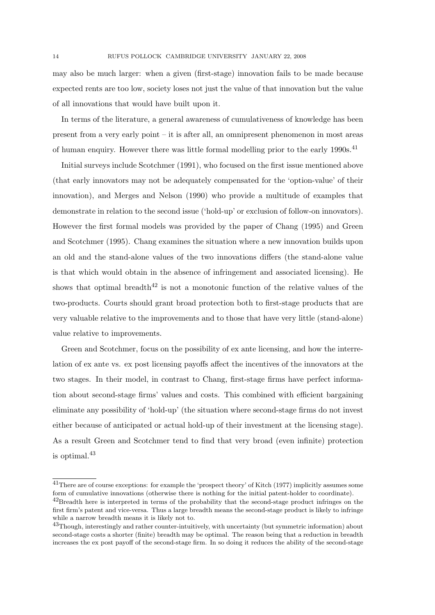may also be much larger: when a given (first-stage) innovation fails to be made because expected rents are too low, society loses not just the value of that innovation but the value of all innovations that would have built upon it.

In terms of the literature, a general awareness of cumulativeness of knowledge has been present from a very early point – it is after all, an omnipresent phenomenon in most areas of human enquiry. However there was little formal modelling prior to the early 1990s.<sup>41</sup>

Initial surveys include Scotchmer (1991), who focused on the first issue mentioned above (that early innovators may not be adequately compensated for the 'option-value' of their innovation), and Merges and Nelson (1990) who provide a multitude of examples that demonstrate in relation to the second issue ('hold-up' or exclusion of follow-on innovators). However the first formal models was provided by the paper of Chang (1995) and Green and Scotchmer (1995). Chang examines the situation where a new innovation builds upon an old and the stand-alone values of the two innovations differs (the stand-alone value is that which would obtain in the absence of infringement and associated licensing). He shows that optimal breadth<sup>42</sup> is not a monotonic function of the relative values of the two-products. Courts should grant broad protection both to first-stage products that are very valuable relative to the improvements and to those that have very little (stand-alone) value relative to improvements.

Green and Scotchmer, focus on the possibility of ex ante licensing, and how the interrelation of ex ante vs. ex post licensing payoffs affect the incentives of the innovators at the two stages. In their model, in contrast to Chang, first-stage firms have perfect information about second-stage firms' values and costs. This combined with efficient bargaining eliminate any possibility of 'hold-up' (the situation where second-stage firms do not invest either because of anticipated or actual hold-up of their investment at the licensing stage). As a result Green and Scotchmer tend to find that very broad (even infinite) protection is optimal.<sup>43</sup>

<sup>41</sup>There are of course exceptions: for example the 'prospect theory' of Kitch (1977) implicitly assumes some form of cumulative innovations (otherwise there is nothing for the initial patent-holder to coordinate).

<sup>&</sup>lt;sup>42</sup>Breadth here is interpreted in terms of the probability that the second-stage product infringes on the first firm's patent and vice-versa. Thus a large breadth means the second-stage product is likely to infringe while a narrow breadth means it is likely not to.

<sup>&</sup>lt;sup>43</sup>Though, interestingly and rather counter-intuitively, with uncertainty (but symmetric information) about second-stage costs a shorter (finite) breadth may be optimal. The reason being that a reduction in breadth increases the ex post payoff of the second-stage firm. In so doing it reduces the ability of the second-stage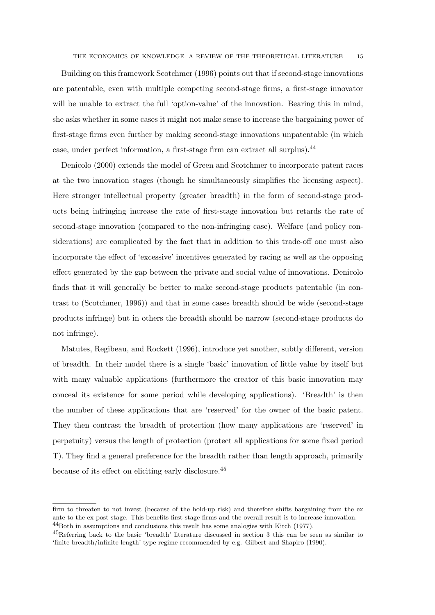Building on this framework Scotchmer (1996) points out that if second-stage innovations are patentable, even with multiple competing second-stage firms, a first-stage innovator will be unable to extract the full 'option-value' of the innovation. Bearing this in mind, she asks whether in some cases it might not make sense to increase the bargaining power of first-stage firms even further by making second-stage innovations unpatentable (in which case, under perfect information, a first-stage firm can extract all surplus).<sup>44</sup>

Denicolo (2000) extends the model of Green and Scotchmer to incorporate patent races at the two innovation stages (though he simultaneously simplifies the licensing aspect). Here stronger intellectual property (greater breadth) in the form of second-stage products being infringing increase the rate of first-stage innovation but retards the rate of second-stage innovation (compared to the non-infringing case). Welfare (and policy considerations) are complicated by the fact that in addition to this trade-off one must also incorporate the effect of 'excessive' incentives generated by racing as well as the opposing effect generated by the gap between the private and social value of innovations. Denicolo finds that it will generally be better to make second-stage products patentable (in contrast to (Scotchmer, 1996)) and that in some cases breadth should be wide (second-stage products infringe) but in others the breadth should be narrow (second-stage products do not infringe).

Matutes, Regibeau, and Rockett (1996), introduce yet another, subtly different, version of breadth. In their model there is a single 'basic' innovation of little value by itself but with many valuable applications (furthermore the creator of this basic innovation may conceal its existence for some period while developing applications). 'Breadth' is then the number of these applications that are 'reserved' for the owner of the basic patent. They then contrast the breadth of protection (how many applications are 'reserved' in perpetuity) versus the length of protection (protect all applications for some fixed period T). They find a general preference for the breadth rather than length approach, primarily because of its effect on eliciting early disclosure.<sup>45</sup>

firm to threaten to not invest (because of the hold-up risk) and therefore shifts bargaining from the ex ante to the ex post stage. This benefits first-stage firms and the overall result is to increase innovation. <sup>44</sup>Both in assumptions and conclusions this result has some analogies with Kitch (1977).

<sup>45</sup>Referring back to the basic 'breadth' literature discussed in section 3 this can be seen as similar to 'finite-breadth/infinite-length' type regime recommended by e.g. Gilbert and Shapiro (1990).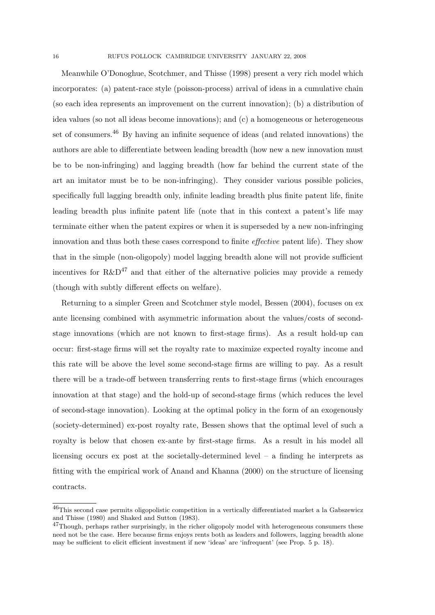Meanwhile O'Donoghue, Scotchmer, and Thisse (1998) present a very rich model which incorporates: (a) patent-race style (poisson-process) arrival of ideas in a cumulative chain (so each idea represents an improvement on the current innovation); (b) a distribution of idea values (so not all ideas become innovations); and (c) a homogeneous or heterogeneous set of consumers.<sup>46</sup> By having an infinite sequence of ideas (and related innovations) the authors are able to differentiate between leading breadth (how new a new innovation must be to be non-infringing) and lagging breadth (how far behind the current state of the art an imitator must be to be non-infringing). They consider various possible policies, specifically full lagging breadth only, infinite leading breadth plus finite patent life, finite leading breadth plus infinite patent life (note that in this context a patent's life may terminate either when the patent expires or when it is superseded by a new non-infringing innovation and thus both these cases correspond to finite effective patent life). They show that in the simple (non-oligopoly) model lagging breadth alone will not provide sufficient incentives for  $R\&D^{47}$  and that either of the alternative policies may provide a remedy (though with subtly different effects on welfare).

Returning to a simpler Green and Scotchmer style model, Bessen (2004), focuses on ex ante licensing combined with asymmetric information about the values/costs of secondstage innovations (which are not known to first-stage firms). As a result hold-up can occur: first-stage firms will set the royalty rate to maximize expected royalty income and this rate will be above the level some second-stage firms are willing to pay. As a result there will be a trade-off between transferring rents to first-stage firms (which encourages innovation at that stage) and the hold-up of second-stage firms (which reduces the level of second-stage innovation). Looking at the optimal policy in the form of an exogenously (society-determined) ex-post royalty rate, Bessen shows that the optimal level of such a royalty is below that chosen ex-ante by first-stage firms. As a result in his model all licensing occurs ex post at the societally-determined level – a finding he interprets as fitting with the empirical work of Anand and Khanna (2000) on the structure of licensing contracts.

<sup>46</sup>This second case permits oligopolistic competition in a vertically differentiated market a la Gabszewicz and Thisse (1980) and Shaked and Sutton (1983).

 $^{47}$ Though, perhaps rather surprisingly, in the richer oligopoly model with heterogeneous consumers these need not be the case. Here because firms enjoys rents both as leaders and followers, lagging breadth alone may be sufficient to elicit efficient investment if new 'ideas' are 'infrequent' (see Prop. 5 p. 18).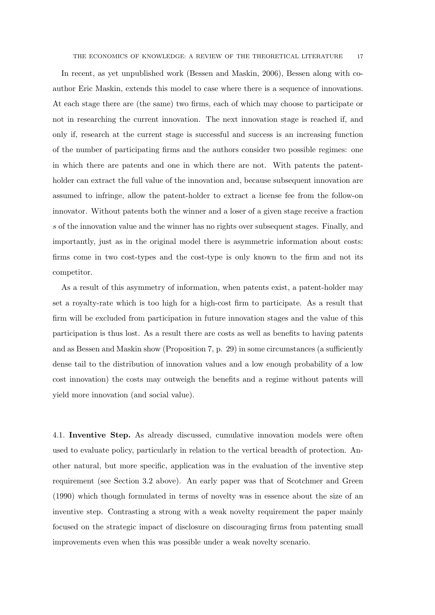In recent, as yet unpublished work (Bessen and Maskin, 2006), Bessen along with coauthor Eric Maskin, extends this model to case where there is a sequence of innovations. At each stage there are (the same) two firms, each of which may choose to participate or not in researching the current innovation. The next innovation stage is reached if, and only if, research at the current stage is successful and success is an increasing function of the number of participating firms and the authors consider two possible regimes: one in which there are patents and one in which there are not. With patents the patentholder can extract the full value of the innovation and, because subsequent innovation are assumed to infringe, allow the patent-holder to extract a license fee from the follow-on innovator. Without patents both the winner and a loser of a given stage receive a fraction s of the innovation value and the winner has no rights over subsequent stages. Finally, and importantly, just as in the original model there is asymmetric information about costs: firms come in two cost-types and the cost-type is only known to the firm and not its competitor.

As a result of this asymmetry of information, when patents exist, a patent-holder may set a royalty-rate which is too high for a high-cost firm to participate. As a result that firm will be excluded from participation in future innovation stages and the value of this participation is thus lost. As a result there are costs as well as benefits to having patents and as Bessen and Maskin show (Proposition 7, p. 29) in some circumstances (a sufficiently dense tail to the distribution of innovation values and a low enough probability of a low cost innovation) the costs may outweigh the benefits and a regime without patents will yield more innovation (and social value).

4.1. Inventive Step. As already discussed, cumulative innovation models were often used to evaluate policy, particularly in relation to the vertical breadth of protection. Another natural, but more specific, application was in the evaluation of the inventive step requirement (see Section 3.2 above). An early paper was that of Scotchmer and Green (1990) which though formulated in terms of novelty was in essence about the size of an inventive step. Contrasting a strong with a weak novelty requirement the paper mainly focused on the strategic impact of disclosure on discouraging firms from patenting small improvements even when this was possible under a weak novelty scenario.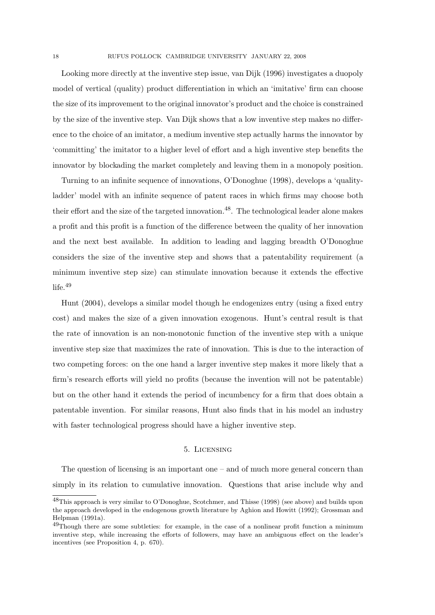Looking more directly at the inventive step issue, van Dijk (1996) investigates a duopoly model of vertical (quality) product differentiation in which an 'imitative' firm can choose the size of its improvement to the original innovator's product and the choice is constrained by the size of the inventive step. Van Dijk shows that a low inventive step makes no difference to the choice of an imitator, a medium inventive step actually harms the innovator by 'committing' the imitator to a higher level of effort and a high inventive step benefits the innovator by blockading the market completely and leaving them in a monopoly position.

Turning to an infinite sequence of innovations, O'Donoghue (1998), develops a 'qualityladder' model with an infinite sequence of patent races in which firms may choose both their effort and the size of the targeted innovation.<sup>48</sup>. The technological leader alone makes a profit and this profit is a function of the difference between the quality of her innovation and the next best available. In addition to leading and lagging breadth O'Donoghue considers the size of the inventive step and shows that a patentability requirement (a minimum inventive step size) can stimulate innovation because it extends the effective life.<sup>49</sup>

Hunt (2004), develops a similar model though he endogenizes entry (using a fixed entry cost) and makes the size of a given innovation exogenous. Hunt's central result is that the rate of innovation is an non-monotonic function of the inventive step with a unique inventive step size that maximizes the rate of innovation. This is due to the interaction of two competing forces: on the one hand a larger inventive step makes it more likely that a firm's research efforts will yield no profits (because the invention will not be patentable) but on the other hand it extends the period of incumbency for a firm that does obtain a patentable invention. For similar reasons, Hunt also finds that in his model an industry with faster technological progress should have a higher inventive step.

#### 5. Licensing

The question of licensing is an important one – and of much more general concern than simply in its relation to cumulative innovation. Questions that arise include why and

<sup>48</sup>This approach is very similar to O'Donoghue, Scotchmer, and Thisse (1998) (see above) and builds upon the approach developed in the endogenous growth literature by Aghion and Howitt (1992); Grossman and Helpman (1991a).

<sup>&</sup>lt;sup>49</sup>Though there are some subtleties: for example, in the case of a nonlinear profit function a minimum inventive step, while increasing the efforts of followers, may have an ambiguous effect on the leader's incentives (see Proposition 4, p. 670).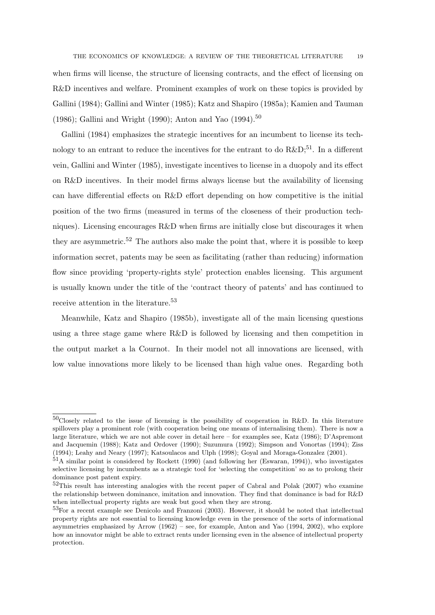when firms will license, the structure of licensing contracts, and the effect of licensing on R&D incentives and welfare. Prominent examples of work on these topics is provided by Gallini (1984); Gallini and Winter (1985); Katz and Shapiro (1985a); Kamien and Tauman (1986); Gallini and Wright (1990); Anton and Yao (1994).<sup>50</sup>

Gallini (1984) emphasizes the strategic incentives for an incumbent to license its technology to an entrant to reduce the incentives for the entrant to do  $R\&D$ ;<sup>51</sup>. In a different vein, Gallini and Winter (1985), investigate incentives to license in a duopoly and its effect on  $R&D$  incentives. In their model firms always license but the availability of licensing can have differential effects on R&D effort depending on how competitive is the initial position of the two firms (measured in terms of the closeness of their production techniques). Licensing encourages R&D when firms are initially close but discourages it when they are asymmetric.<sup>52</sup> The authors also make the point that, where it is possible to keep information secret, patents may be seen as facilitating (rather than reducing) information flow since providing 'property-rights style' protection enables licensing. This argument is usually known under the title of the 'contract theory of patents' and has continued to receive attention in the literature.<sup>53</sup>

Meanwhile, Katz and Shapiro (1985b), investigate all of the main licensing questions using a three stage game where  $R\&D$  is followed by licensing and then competition in the output market a la Cournot. In their model not all innovations are licensed, with low value innovations more likely to be licensed than high value ones. Regarding both

<sup>50</sup>Closely related to the issue of licensing is the possibility of cooperation in R&D. In this literature spillovers play a prominent role (with cooperation being one means of internalising them). There is now a large literature, which we are not able cover in detail here – for examples see, Katz (1986); D'Aspremont and Jacquemin (1988); Katz and Ordover (1990); Suzumura (1992); Simpson and Vonortas (1994); Ziss (1994); Leahy and Neary (1997); Katsoulacos and Ulph (1998); Goyal and Moraga-Gonzalez (2001).

 $51A$  similar point is considered by Rockett (1990) (and following her (Eswaran, 1994)), who investigates selective licensing by incumbents as a strategic tool for 'selecting the competition' so as to prolong their dominance post patent expiry.

 $52$ This result has interesting analogies with the recent paper of Cabral and Polak (2007) who examine the relationship between dominance, imitation and innovation. They find that dominance is bad for R&D when intellectual property rights are weak but good when they are strong.

<sup>&</sup>lt;sup>53</sup>For a recent example see Denicolo and Franzoni (2003). However, it should be noted that intellectual property rights are not essential to licensing knowledge even in the presence of the sorts of informational asymmetries emphasized by Arrow (1962) – see, for example, Anton and Yao (1994, 2002), who explore how an innovator might be able to extract rents under licensing even in the absence of intellectual property protection.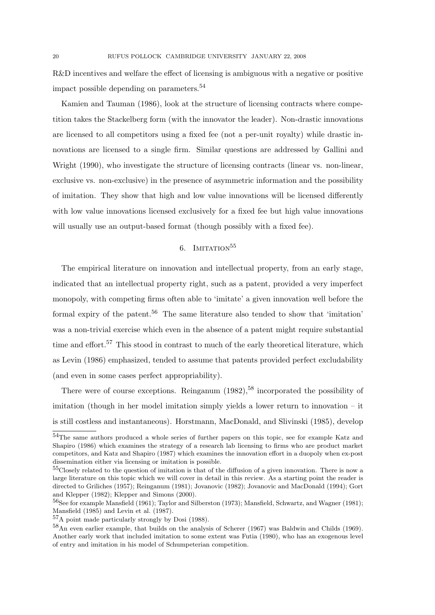R&D incentives and welfare the effect of licensing is ambiguous with a negative or positive impact possible depending on parameters.<sup>54</sup>

Kamien and Tauman (1986), look at the structure of licensing contracts where competition takes the Stackelberg form (with the innovator the leader). Non-drastic innovations are licensed to all competitors using a fixed fee (not a per-unit royalty) while drastic innovations are licensed to a single firm. Similar questions are addressed by Gallini and Wright (1990), who investigate the structure of licensing contracts (linear vs. non-linear, exclusive vs. non-exclusive) in the presence of asymmetric information and the possibility of imitation. They show that high and low value innovations will be licensed differently with low value innovations licensed exclusively for a fixed fee but high value innovations will usually use an output-based format (though possibly with a fixed fee).

## $6.$  IMITATION $^{55}$

The empirical literature on innovation and intellectual property, from an early stage, indicated that an intellectual property right, such as a patent, provided a very imperfect monopoly, with competing firms often able to 'imitate' a given innovation well before the formal expiry of the patent.<sup>56</sup> The same literature also tended to show that 'imitation' was a non-trivial exercise which even in the absence of a patent might require substantial time and effort.<sup>57</sup> This stood in contrast to much of the early theoretical literature, which as Levin (1986) emphasized, tended to assume that patents provided perfect excludability (and even in some cases perfect appropriability).

There were of course exceptions. Reinganum  $(1982)$ ,  $^{58}$  incorporated the possibility of imitation (though in her model imitation simply yields a lower return to innovation – it is still costless and instantaneous). Horstmann, MacDonald, and Slivinski (1985), develop

 $\overline{54}$ The same authors produced a whole series of further papers on this topic, see for example Katz and Shapiro (1986) which examines the strategy of a research lab licensing to firms who are product market competitors, and Katz and Shapiro (1987) which examines the innovation effort in a duopoly when ex-post dissemination either via licensing or imitation is possible.

<sup>55</sup>Closely related to the question of imitation is that of the diffusion of a given innovation. There is now a large literature on this topic which we will cover in detail in this review. As a starting point the reader is directed to Griliches (1957); Reinganum (1981); Jovanovic (1982); Jovanovic and MacDonald (1994); Gort and Klepper (1982); Klepper and Simons (2000).

<sup>56</sup>See for example Mansfield (1961); Taylor and Silberston (1973); Mansfield, Schwartz, and Wagner (1981); Mansfield (1985) and Levin et al. (1987).

<sup>57</sup>A point made particularly strongly by Dosi (1988).

<sup>58</sup>An even earlier example, that builds on the analysis of Scherer (1967) was Baldwin and Childs (1969). Another early work that included imitation to some extent was Futia (1980), who has an exogenous level of entry and imitation in his model of Schumpeterian competition.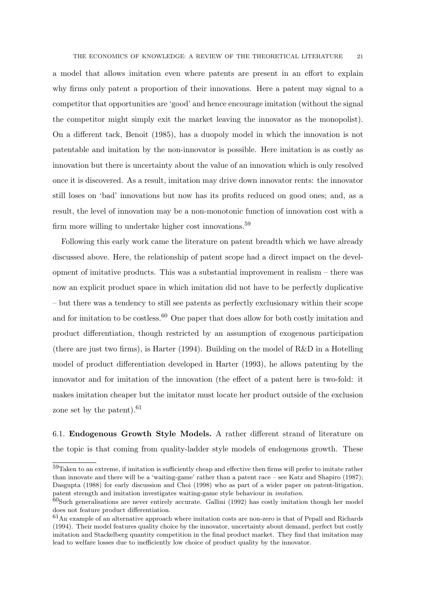a model that allows imitation even where patents are present in an effort to explain why firms only patent a proportion of their innovations. Here a patent may signal to a competitor that opportunities are 'good' and hence encourage imitation (without the signal the competitor might simply exit the market leaving the innovator as the monopolist). On a different tack, Benoit (1985), has a duopoly model in which the innovation is not patentable and imitation by the non-innovator is possible. Here imitation is as costly as innovation but there is uncertainty about the value of an innovation which is only resolved once it is discovered. As a result, imitation may drive down innovator rents: the innovator still loses on 'bad' innovations but now has its profits reduced on good ones; and, as a result, the level of innovation may be a non-monotonic function of innovation cost with a firm more willing to undertake higher cost innovations.<sup>59</sup>

Following this early work came the literature on patent breadth which we have already discussed above. Here, the relationship of patent scope had a direct impact on the development of imitative products. This was a substantial improvement in realism – there was now an explicit product space in which imitation did not have to be perfectly duplicative – but there was a tendency to still see patents as perfectly exclusionary within their scope and for imitation to be costless.<sup>60</sup> One paper that does allow for both costly imitation and product differentiation, though restricted by an assumption of exogenous participation (there are just two firms), is Harter (1994). Building on the model of R&D in a Hotelling model of product differentiation developed in Harter (1993), he allows patenting by the innovator and for imitation of the innovation (the effect of a patent here is two-fold: it makes imitation cheaper but the imitator must locate her product outside of the exclusion zone set by the patent). $61$ 

6.1. Endogenous Growth Style Models. A rather different strand of literature on the topic is that coming from quality-ladder style models of endogenous growth. These

<sup>59</sup>Taken to an extreme, if imitation is sufficiently cheap and effective then firms will prefer to imitate rather than innovate and there will be a 'waiting-game' rather than a patent race – see Katz and Shapiro (1987); Dasgupta (1988) for early discussion and Choi (1998) who as part of a wider paper on patent-litigation, patent strength and imitation investigates waiting-game style behaviour in imitation.

 $60$ Such generalisations are never entirely accurate. Gallini (1992) has costly imitation though her model does not feature product differentiation.

<sup>61</sup>An example of an alternative approach where imitation costs are non-zero is that of Pepall and Richards (1994). Their model features quality choice by the innovator, uncertainty about demand, perfect but costly imitation and Stackelberg quantity competition in the final product market. They find that imitation may lead to welfare losses due to inefficiently low choice of product quality by the innovator.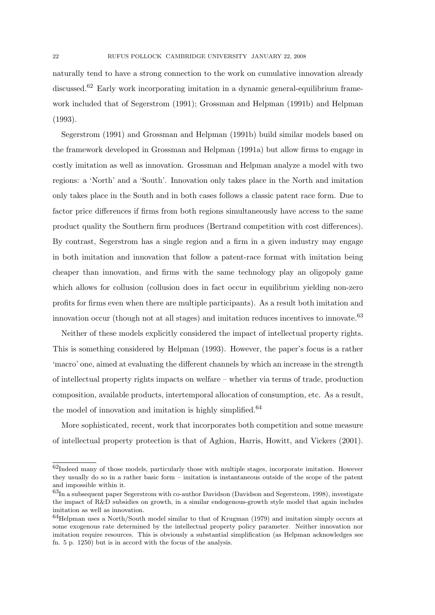naturally tend to have a strong connection to the work on cumulative innovation already discussed.<sup>62</sup> Early work incorporating imitation in a dynamic general-equilibrium framework included that of Segerstrom (1991); Grossman and Helpman (1991b) and Helpman (1993).

Segerstrom (1991) and Grossman and Helpman (1991b) build similar models based on the framework developed in Grossman and Helpman (1991a) but allow firms to engage in costly imitation as well as innovation. Grossman and Helpman analyze a model with two regions: a 'North' and a 'South'. Innovation only takes place in the North and imitation only takes place in the South and in both cases follows a classic patent race form. Due to factor price differences if firms from both regions simultaneously have access to the same product quality the Southern firm produces (Bertrand competition with cost differences). By contrast, Segerstrom has a single region and a firm in a given industry may engage in both imitation and innovation that follow a patent-race format with imitation being cheaper than innovation, and firms with the same technology play an oligopoly game which allows for collusion (collusion does in fact occur in equilibrium yielding non-zero profits for firms even when there are multiple participants). As a result both imitation and innovation occur (though not at all stages) and imitation reduces incentives to innovate.<sup>63</sup>

Neither of these models explicitly considered the impact of intellectual property rights. This is something considered by Helpman (1993). However, the paper's focus is a rather 'macro' one, aimed at evaluating the different channels by which an increase in the strength of intellectual property rights impacts on welfare – whether via terms of trade, production composition, available products, intertemporal allocation of consumption, etc. As a result, the model of innovation and imitation is highly simplified.<sup>64</sup>

More sophisticated, recent, work that incorporates both competition and some measure of intellectual property protection is that of Aghion, Harris, Howitt, and Vickers (2001).

 $62$ Indeed many of those models, particularly those with multiple stages, incorporate imitation. However they usually do so in a rather basic form – imitation is instantaneous outside of the scope of the patent and impossible within it.

<sup>63</sup>In a subsequent paper Segerstrom with co-author Davidson (Davidson and Segerstrom, 1998), investigate the impact of R&D subsidies on growth, in a similar endogenous-growth style model that again includes imitation as well as innovation.

<sup>64</sup>Helpman uses a North/South model similar to that of Krugman (1979) and imitation simply occurs at some exogenous rate determined by the intellectual property policy parameter. Neither innovation nor imitation require resources. This is obviously a substantial simplification (as Helpman acknowledges see fn. 5 p. 1250) but is in accord with the focus of the analysis.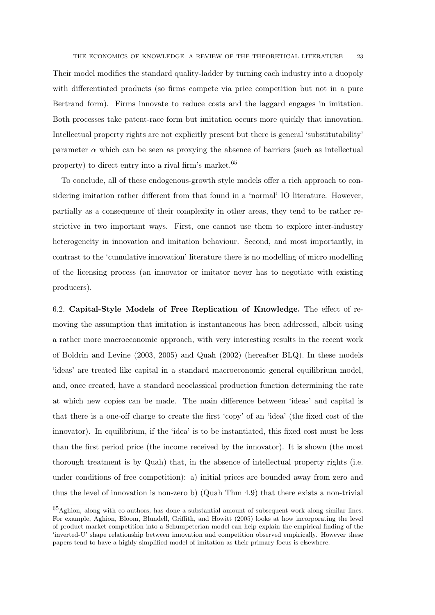Their model modifies the standard quality-ladder by turning each industry into a duopoly with differentiated products (so firms compete via price competition but not in a pure Bertrand form). Firms innovate to reduce costs and the laggard engages in imitation. Both processes take patent-race form but imitation occurs more quickly that innovation. Intellectual property rights are not explicitly present but there is general 'substitutability' parameter  $\alpha$  which can be seen as proximg the absence of barriers (such as intellectual property) to direct entry into a rival firm's market.<sup>65</sup>

To conclude, all of these endogenous-growth style models offer a rich approach to considering imitation rather different from that found in a 'normal' IO literature. However, partially as a consequence of their complexity in other areas, they tend to be rather restrictive in two important ways. First, one cannot use them to explore inter-industry heterogeneity in innovation and imitation behaviour. Second, and most importantly, in contrast to the 'cumulative innovation' literature there is no modelling of micro modelling of the licensing process (an innovator or imitator never has to negotiate with existing producers).

6.2. Capital-Style Models of Free Replication of Knowledge. The effect of removing the assumption that imitation is instantaneous has been addressed, albeit using a rather more macroeconomic approach, with very interesting results in the recent work of Boldrin and Levine (2003, 2005) and Quah (2002) (hereafter BLQ). In these models 'ideas' are treated like capital in a standard macroeconomic general equilibrium model, and, once created, have a standard neoclassical production function determining the rate at which new copies can be made. The main difference between 'ideas' and capital is that there is a one-off charge to create the first 'copy' of an 'idea' (the fixed cost of the innovator). In equilibrium, if the 'idea' is to be instantiated, this fixed cost must be less than the first period price (the income received by the innovator). It is shown (the most thorough treatment is by Quah) that, in the absence of intellectual property rights (i.e. under conditions of free competition): a) initial prices are bounded away from zero and thus the level of innovation is non-zero b) (Quah Thm 4.9) that there exists a non-trivial

<sup>65</sup>Aghion, along with co-authors, has done a substantial amount of subsequent work along similar lines. For example, Aghion, Bloom, Blundell, Griffith, and Howitt (2005) looks at how incorporating the level of product market competition into a Schumpeterian model can help explain the empirical finding of the 'inverted-U' shape relationship between innovation and competition observed empirically. However these papers tend to have a highly simplified model of imitation as their primary focus is elsewhere.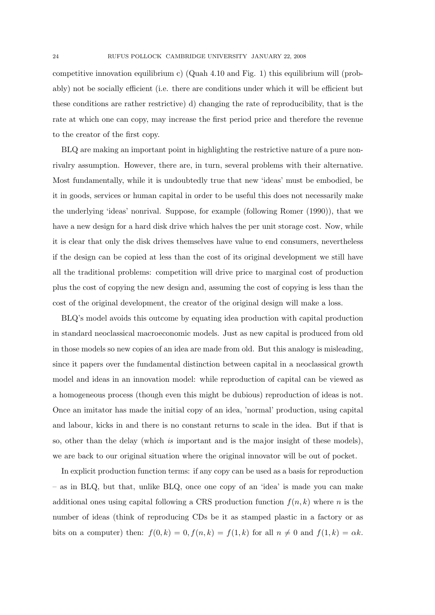competitive innovation equilibrium c) (Quah 4.10 and Fig. 1) this equilibrium will (probably) not be socially efficient (i.e. there are conditions under which it will be efficient but these conditions are rather restrictive) d) changing the rate of reproducibility, that is the rate at which one can copy, may increase the first period price and therefore the revenue to the creator of the first copy.

BLQ are making an important point in highlighting the restrictive nature of a pure nonrivalry assumption. However, there are, in turn, several problems with their alternative. Most fundamentally, while it is undoubtedly true that new 'ideas' must be embodied, be it in goods, services or human capital in order to be useful this does not necessarily make the underlying 'ideas' nonrival. Suppose, for example (following Romer (1990)), that we have a new design for a hard disk drive which halves the per unit storage cost. Now, while it is clear that only the disk drives themselves have value to end consumers, nevertheless if the design can be copied at less than the cost of its original development we still have all the traditional problems: competition will drive price to marginal cost of production plus the cost of copying the new design and, assuming the cost of copying is less than the cost of the original development, the creator of the original design will make a loss.

BLQ's model avoids this outcome by equating idea production with capital production in standard neoclassical macroeconomic models. Just as new capital is produced from old in those models so new copies of an idea are made from old. But this analogy is misleading, since it papers over the fundamental distinction between capital in a neoclassical growth model and ideas in an innovation model: while reproduction of capital can be viewed as a homogeneous process (though even this might be dubious) reproduction of ideas is not. Once an imitator has made the initial copy of an idea, 'normal' production, using capital and labour, kicks in and there is no constant returns to scale in the idea. But if that is so, other than the delay (which is important and is the major insight of these models), we are back to our original situation where the original innovator will be out of pocket.

In explicit production function terms: if any copy can be used as a basis for reproduction – as in BLQ, but that, unlike BLQ, once one copy of an 'idea' is made you can make additional ones using capital following a CRS production function  $f(n, k)$  where n is the number of ideas (think of reproducing CDs be it as stamped plastic in a factory or as bits on a computer) then:  $f(0, k) = 0, f(n, k) = f(1, k)$  for all  $n \neq 0$  and  $f(1, k) = \alpha k$ .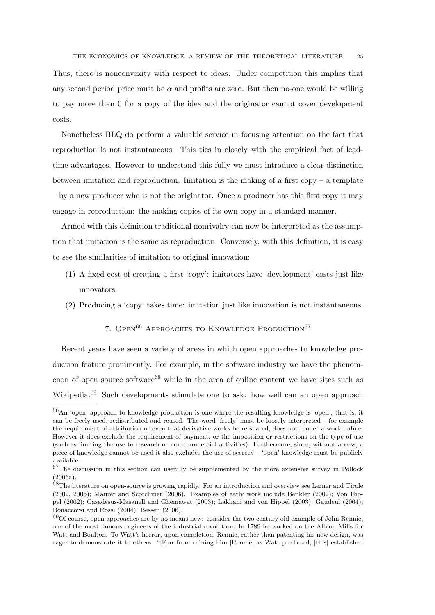Thus, there is nonconvexity with respect to ideas. Under competition this implies that any second period price must be  $\alpha$  and profits are zero. But then no-one would be willing to pay more than 0 for a copy of the idea and the originator cannot cover development costs.

Nonetheless BLQ do perform a valuable service in focusing attention on the fact that reproduction is not instantaneous. This ties in closely with the empirical fact of leadtime advantages. However to understand this fully we must introduce a clear distinction between imitation and reproduction. Imitation is the making of a first copy – a template – by a new producer who is not the originator. Once a producer has this first copy it may engage in reproduction: the making copies of its own copy in a standard manner.

Armed with this definition traditional nonrivalry can now be interpreted as the assumption that imitation is the same as reproduction. Conversely, with this definition, it is easy to see the similarities of imitation to original innovation:

- (1) A fixed cost of creating a first 'copy': imitators have 'development' costs just like innovators.
- (2) Producing a 'copy' takes time: imitation just like innovation is not instantaneous.

# 7. OPEN<sup>66</sup> APPROACHES TO KNOWLEDGE PRODUCTION<sup>67</sup>

Recent years have seen a variety of areas in which open approaches to knowledge production feature prominently. For example, in the software industry we have the phenomenon of open source software<sup>68</sup> while in the area of online content we have sites such as Wikipedia.<sup>69</sup> Such developments stimulate one to ask: how well can an open approach

 $66$ An 'open' approach to knowledge production is one where the resulting knowledge is 'open', that is, it can be freely used, redistributed and reused. The word 'freely' must be loosely interpreted – for example the requirement of attribution or even that derivative works be re-shared, does not render a work unfree. However it does exclude the requirement of payment, or the imposition or restrictions on the type of use (such as limiting the use to research or non-commercial activities). Furthermore, since, without access, a piece of knowledge cannot be used it also excludes the use of secrecy – 'open' knowledge must be publicly available.

<sup>67</sup>The discussion in this section can usefully be supplemented by the more extensive survey in Pollock (2006a).

<sup>68</sup>The literature on open-source is growing rapidly. For an introduction and overview see Lerner and Tirole (2002, 2005); Maurer and Scotchmer (2006). Examples of early work include Benkler (2002); Von Hippel (2002); Casadesus-Masanell and Ghemawat (2003); Lakhani and von Hippel (2003); Gaudeul (2004); Bonaccorsi and Rossi (2004); Bessen (2006).

<sup>69</sup>Of course, open approaches are by no means new: consider the two century old example of John Rennie, one of the most famous engineers of the industrial revolution. In 1789 he worked on the Albion Mills for Watt and Boulton. To Watt's horror, upon completion, Rennie, rather than patenting his new design, was eager to demonstrate it to others. "[F]ar from ruining him [Rennie] as Watt predicted, [this] established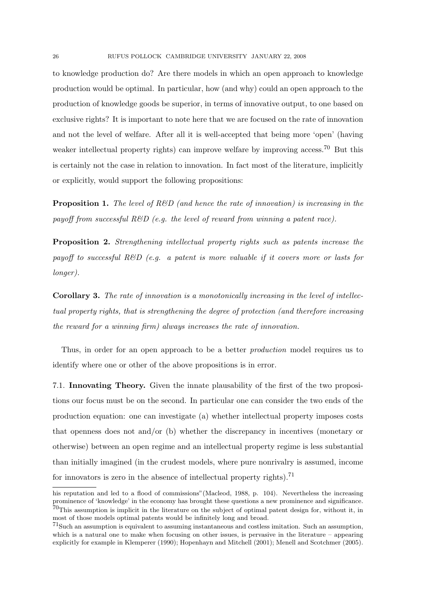to knowledge production do? Are there models in which an open approach to knowledge production would be optimal. In particular, how (and why) could an open approach to the production of knowledge goods be superior, in terms of innovative output, to one based on exclusive rights? It is important to note here that we are focused on the rate of innovation and not the level of welfare. After all it is well-accepted that being more 'open' (having weaker intellectual property rights) can improve welfare by improving access.<sup>70</sup> But this is certainly not the case in relation to innovation. In fact most of the literature, implicitly or explicitly, would support the following propositions:

**Proposition 1.** The level of  $R\&D$  (and hence the rate of innovation) is increasing in the payoff from successful  $R\&D$  (e.g. the level of reward from winning a patent race).

Proposition 2. Strengthening intellectual property rights such as patents increase the payoff to successful R&D (e.g. a patent is more valuable if it covers more or lasts for longer).

Corollary 3. The rate of innovation is a monotonically increasing in the level of intellectual property rights, that is strengthening the degree of protection (and therefore increasing the reward for a winning firm) always increases the rate of innovation.

Thus, in order for an open approach to be a better *production* model requires us to identify where one or other of the above propositions is in error.

7.1. Innovating Theory. Given the innate plausability of the first of the two propositions our focus must be on the second. In particular one can consider the two ends of the production equation: one can investigate (a) whether intellectual property imposes costs that openness does not and/or (b) whether the discrepancy in incentives (monetary or otherwise) between an open regime and an intellectual property regime is less substantial than initially imagined (in the crudest models, where pure nonrivalry is assumed, income for innovators is zero in the absence of intellectual property rights).<sup>71</sup>

his reputation and led to a flood of commissions" (Macleod, 1988, p. 104). Nevertheless the increasing prominence of 'knowledge' in the economy has brought these questions a new prominence and significance.  $^{70}$ This assumption is implicit in the literature on the subject of optimal patent design for, without it, in most of those models optimal patents would be infinitely long and broad.

<sup>71</sup>Such an assumption is equivalent to assuming instantaneous and costless imitation. Such an assumption, which is a natural one to make when focusing on other issues, is pervasive in the literature – appearing explicitly for example in Klemperer (1990); Hopenhayn and Mitchell (2001); Menell and Scotchmer (2005).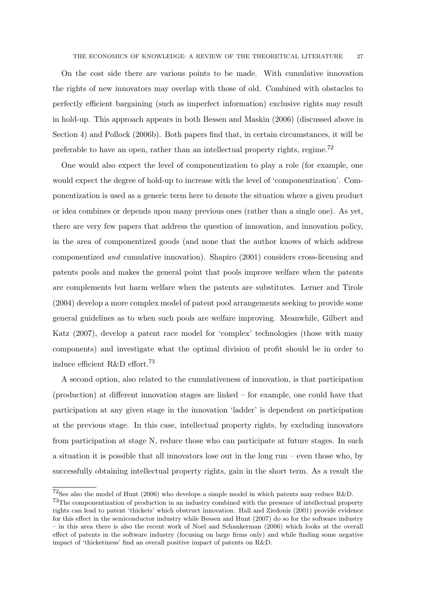On the cost side there are various points to be made. With cumulative innovation the rights of new innovators may overlap with those of old. Combined with obstacles to perfectly efficient bargaining (such as imperfect information) exclusive rights may result in hold-up. This approach appears in both Bessen and Maskin (2006) (discussed above in Section 4) and Pollock (2006b). Both papers find that, in certain circumstances, it will be preferable to have an open, rather than an intellectual property rights, regime.<sup>72</sup>

One would also expect the level of componentization to play a role (for example, one would expect the degree of hold-up to increase with the level of 'componentization'. Componentization is used as a generic term here to denote the situation where a given product or idea combines or depends upon many previous ones (rather than a single one). As yet, there are very few papers that address the question of innovation, and innovation policy, in the area of componentized goods (and none that the author knows of which address componentized and cumulative innovation). Shapiro (2001) considers cross-licensing and patents pools and makes the general point that pools improve welfare when the patents are complements but harm welfare when the patents are substitutes. Lerner and Tirole (2004) develop a more complex model of patent pool arrangements seeking to provide some general guidelines as to when such pools are welfare improving. Meanwhile, Gilbert and Katz (2007), develop a patent race model for 'complex' technologies (those with many components) and investigate what the optimal division of profit should be in order to induce efficient R&D effort.<sup>73</sup>

A second option, also related to the cumulativeness of innovation, is that participation (production) at different innovation stages are linked – for example, one could have that participation at any given stage in the innovation 'ladder' is dependent on participation at the previous stage. In this case, intellectual property rights, by excluding innovators from participation at stage N, reduce those who can participate at future stages. In such a situation it is possible that all innovators lose out in the long run – even those who, by successfully obtaining intellectual property rights, gain in the short term. As a result the

 $72$ See also the model of Hunt (2006) who develops a simple model in which patents may reduce R&D.

<sup>73</sup>The componentization of production in an industry combined with the presence of intellectual property rights can lead to patent 'thickets' which obstruct innovation. Hall and Ziedonis (2001) provide evidence for this effect in the semiconductor industry while Bessen and Hunt (2007) do so for the software industry – in this area there is also the recent work of Noel and Schankerman (2006) which looks at the overall effect of patents in the software industry (focusing on large firms only) and while finding some negative impact of 'thicketiness' find an overall positive impact of patents on R&D.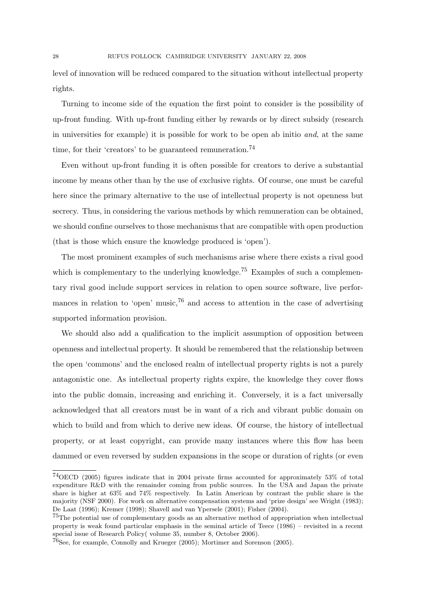level of innovation will be reduced compared to the situation without intellectual property rights.

Turning to income side of the equation the first point to consider is the possibility of up-front funding. With up-front funding either by rewards or by direct subsidy (research in universities for example) it is possible for work to be open ab initio and, at the same time, for their 'creators' to be guaranteed remuneration.<sup>74</sup>

Even without up-front funding it is often possible for creators to derive a substantial income by means other than by the use of exclusive rights. Of course, one must be careful here since the primary alternative to the use of intellectual property is not openness but secrecy. Thus, in considering the various methods by which remuneration can be obtained, we should confine ourselves to those mechanisms that are compatible with open production (that is those which ensure the knowledge produced is 'open').

The most prominent examples of such mechanisms arise where there exists a rival good which is complementary to the underlying knowledge.<sup>75</sup> Examples of such a complementary rival good include support services in relation to open source software, live performances in relation to 'open' music,<sup>76</sup> and access to attention in the case of advertising supported information provision.

We should also add a qualification to the implicit assumption of opposition between openness and intellectual property. It should be remembered that the relationship between the open 'commons' and the enclosed realm of intellectual property rights is not a purely antagonistic one. As intellectual property rights expire, the knowledge they cover flows into the public domain, increasing and enriching it. Conversely, it is a fact universally acknowledged that all creators must be in want of a rich and vibrant public domain on which to build and from which to derive new ideas. Of course, the history of intellectual property, or at least copyright, can provide many instances where this flow has been dammed or even reversed by sudden expansions in the scope or duration of rights (or even

<sup>74</sup>OECD (2005) figures indicate that in 2004 private firms accounted for approximately 53% of total expenditure R&D with the remainder coming from public sources. In the USA and Japan the private share is higher at 63% and 74% respectively. In Latin American by contrast the public share is the majority (NSF 2000). For work on alternative compensation systems and 'prize design' see Wright (1983); De Laat (1996); Kremer (1998); Shavell and van Ypersele (2001); Fisher (2004).

 $^{75}$ The potential use of complementary goods as an alternative method of appropriation when intellectual property is weak found particular emphasis in the seminal article of Teece (1986) – revisited in a recent special issue of Research Policy( volume 35, number 8, October 2006).

 $^{76}\rm{See},$  for example, Connolly and Krueger (2005); Mortimer and Sorenson (2005).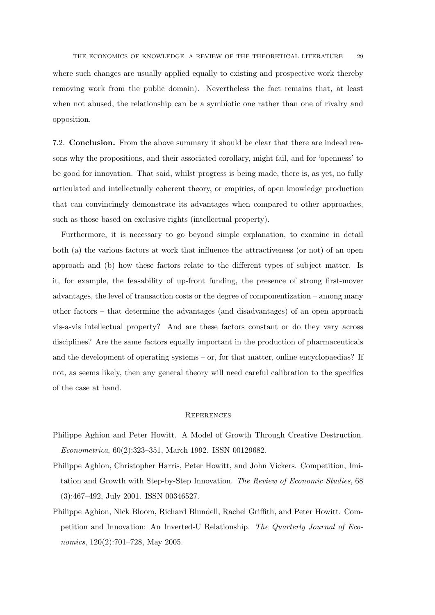where such changes are usually applied equally to existing and prospective work thereby removing work from the public domain). Nevertheless the fact remains that, at least when not abused, the relationship can be a symbiotic one rather than one of rivalry and opposition.

7.2. Conclusion. From the above summary it should be clear that there are indeed reasons why the propositions, and their associated corollary, might fail, and for 'openness' to be good for innovation. That said, whilst progress is being made, there is, as yet, no fully articulated and intellectually coherent theory, or empirics, of open knowledge production that can convincingly demonstrate its advantages when compared to other approaches, such as those based on exclusive rights (intellectual property).

Furthermore, it is necessary to go beyond simple explanation, to examine in detail both (a) the various factors at work that influence the attractiveness (or not) of an open approach and (b) how these factors relate to the different types of subject matter. Is it, for example, the feasability of up-front funding, the presence of strong first-mover advantages, the level of transaction costs or the degree of componentization – among many other factors – that determine the advantages (and disadvantages) of an open approach vis-a-vis intellectual property? And are these factors constant or do they vary across disciplines? Are the same factors equally important in the production of pharmaceuticals and the development of operating systems – or, for that matter, online encyclopaedias? If not, as seems likely, then any general theory will need careful calibration to the specifics of the case at hand.

#### **REFERENCES**

- Philippe Aghion and Peter Howitt. A Model of Growth Through Creative Destruction. Econometrica, 60(2):323–351, March 1992. ISSN 00129682.
- Philippe Aghion, Christopher Harris, Peter Howitt, and John Vickers. Competition, Imitation and Growth with Step-by-Step Innovation. The Review of Economic Studies, 68 (3):467–492, July 2001. ISSN 00346527.
- Philippe Aghion, Nick Bloom, Richard Blundell, Rachel Griffith, and Peter Howitt. Competition and Innovation: An Inverted-U Relationship. The Quarterly Journal of Economics, 120(2):701–728, May 2005.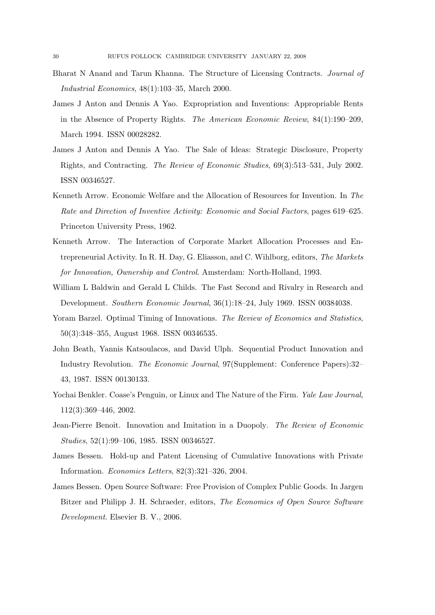- Bharat N Anand and Tarun Khanna. The Structure of Licensing Contracts. Journal of Industrial Economics, 48(1):103–35, March 2000.
- James J Anton and Dennis A Yao. Expropriation and Inventions: Appropriable Rents in the Absence of Property Rights. The American Economic Review, 84(1):190–209, March 1994. ISSN 00028282.
- James J Anton and Dennis A Yao. The Sale of Ideas: Strategic Disclosure, Property Rights, and Contracting. The Review of Economic Studies, 69(3):513–531, July 2002. ISSN 00346527.
- Kenneth Arrow. Economic Welfare and the Allocation of Resources for Invention. In The Rate and Direction of Inventive Activity: Economic and Social Factors, pages 619–625. Princeton University Press, 1962.
- Kenneth Arrow. The Interaction of Corporate Market Allocation Processes and Entrepreneurial Activity. In R. H. Day, G. Eliasson, and C. Wihlborg, editors, The Markets for Innovation, Ownership and Control. Amsterdam: North-Holland, 1993.
- William L Baldwin and Gerald L Childs. The Fast Second and Rivalry in Research and Development. Southern Economic Journal, 36(1):18–24, July 1969. ISSN 00384038.
- Yoram Barzel. Optimal Timing of Innovations. The Review of Economics and Statistics, 50(3):348–355, August 1968. ISSN 00346535.
- John Beath, Yannis Katsoulacos, and David Ulph. Sequential Product Innovation and Industry Revolution. The Economic Journal, 97(Supplement: Conference Papers):32– 43, 1987. ISSN 00130133.
- Yochai Benkler. Coase's Penguin, or Linux and The Nature of the Firm. Yale Law Journal, 112(3):369–446, 2002.
- Jean-Pierre Benoit. Innovation and Imitation in a Duopoly. The Review of Economic Studies, 52(1):99–106, 1985. ISSN 00346527.
- James Bessen. Hold-up and Patent Licensing of Cumulative Innovations with Private Information. Economics Letters, 82(3):321–326, 2004.
- James Bessen. Open Source Software: Free Provision of Complex Public Goods. In Jargen Bitzer and Philipp J. H. Schraeder, editors, The Economics of Open Source Software Development. Elsevier B. V., 2006.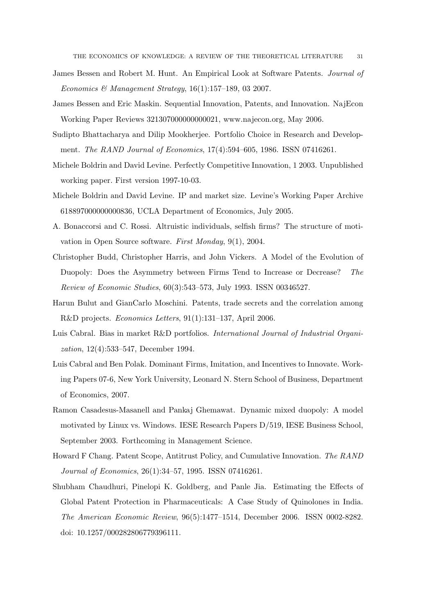- James Bessen and Robert M. Hunt. An Empirical Look at Software Patents. Journal of Economics & Management Strategy,  $16(1):157-189$ , 03 2007.
- James Bessen and Eric Maskin. Sequential Innovation, Patents, and Innovation. NajEcon Working Paper Reviews 321307000000000021, www.najecon.org, May 2006.
- Sudipto Bhattacharya and Dilip Mookherjee. Portfolio Choice in Research and Development. The RAND Journal of Economics, 17(4):594–605, 1986. ISSN 07416261.
- Michele Boldrin and David Levine. Perfectly Competitive Innovation, 1 2003. Unpublished working paper. First version 1997-10-03.
- Michele Boldrin and David Levine. IP and market size. Levine's Working Paper Archive 618897000000000836, UCLA Department of Economics, July 2005.
- A. Bonaccorsi and C. Rossi. Altruistic individuals, selfish firms? The structure of motivation in Open Source software. First Monday, 9(1), 2004.
- Christopher Budd, Christopher Harris, and John Vickers. A Model of the Evolution of Duopoly: Does the Asymmetry between Firms Tend to Increase or Decrease? The Review of Economic Studies, 60(3):543–573, July 1993. ISSN 00346527.
- Harun Bulut and GianCarlo Moschini. Patents, trade secrets and the correlation among R&D projects. Economics Letters, 91(1):131–137, April 2006.
- Luis Cabral. Bias in market R&D portfolios. International Journal of Industrial Organization, 12(4):533–547, December 1994.
- Luis Cabral and Ben Polak. Dominant Firms, Imitation, and Incentives to Innovate. Working Papers 07-6, New York University, Leonard N. Stern School of Business, Department of Economics, 2007.
- Ramon Casadesus-Masanell and Pankaj Ghemawat. Dynamic mixed duopoly: A model motivated by Linux vs. Windows. IESE Research Papers D/519, IESE Business School, September 2003. Forthcoming in Management Science.
- Howard F Chang. Patent Scope, Antitrust Policy, and Cumulative Innovation. The RAND Journal of Economics, 26(1):34–57, 1995. ISSN 07416261.
- Shubham Chaudhuri, Pinelopi K. Goldberg, and Panle Jia. Estimating the Effects of Global Patent Protection in Pharmaceuticals: A Case Study of Quinolones in India. The American Economic Review, 96(5):1477–1514, December 2006. ISSN 0002-8282. doi: 10.1257/000282806779396111.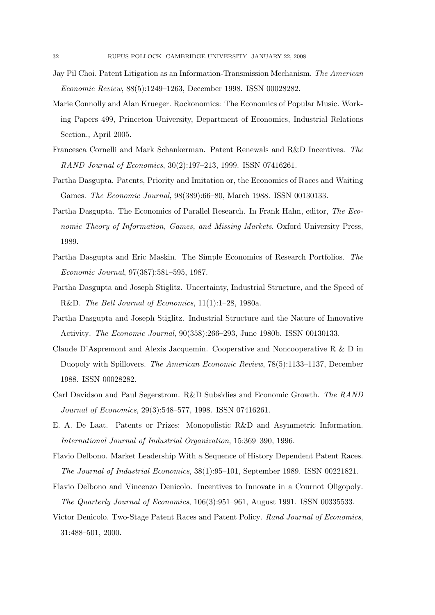- Jay Pil Choi. Patent Litigation as an Information-Transmission Mechanism. The American Economic Review, 88(5):1249–1263, December 1998. ISSN 00028282.
- Marie Connolly and Alan Krueger. Rockonomics: The Economics of Popular Music. Working Papers 499, Princeton University, Department of Economics, Industrial Relations Section., April 2005.
- Francesca Cornelli and Mark Schankerman. Patent Renewals and R&D Incentives. The RAND Journal of Economics, 30(2):197–213, 1999. ISSN 07416261.
- Partha Dasgupta. Patents, Priority and Imitation or, the Economics of Races and Waiting Games. The Economic Journal, 98(389):66–80, March 1988. ISSN 00130133.
- Partha Dasgupta. The Economics of Parallel Research. In Frank Hahn, editor, The Economic Theory of Information, Games, and Missing Markets. Oxford University Press, 1989.
- Partha Dasgupta and Eric Maskin. The Simple Economics of Research Portfolios. The Economic Journal, 97(387):581–595, 1987.
- Partha Dasgupta and Joseph Stiglitz. Uncertainty, Industrial Structure, and the Speed of R&D. The Bell Journal of Economics, 11(1):1–28, 1980a.
- Partha Dasgupta and Joseph Stiglitz. Industrial Structure and the Nature of Innovative Activity. The Economic Journal, 90(358):266–293, June 1980b. ISSN 00130133.
- Claude D'Aspremont and Alexis Jacquemin. Cooperative and Noncooperative R & D in Duopoly with Spillovers. The American Economic Review, 78(5):1133–1137, December 1988. ISSN 00028282.
- Carl Davidson and Paul Segerstrom. R&D Subsidies and Economic Growth. The RAND Journal of Economics, 29(3):548–577, 1998. ISSN 07416261.
- E. A. De Laat. Patents or Prizes: Monopolistic R&D and Asymmetric Information. International Journal of Industrial Organization, 15:369–390, 1996.
- Flavio Delbono. Market Leadership With a Sequence of History Dependent Patent Races. The Journal of Industrial Economics, 38(1):95–101, September 1989. ISSN 00221821.
- Flavio Delbono and Vincenzo Denicolo. Incentives to Innovate in a Cournot Oligopoly. The Quarterly Journal of Economics, 106(3):951–961, August 1991. ISSN 00335533.
- Victor Denicolo. Two-Stage Patent Races and Patent Policy. Rand Journal of Economics, 31:488–501, 2000.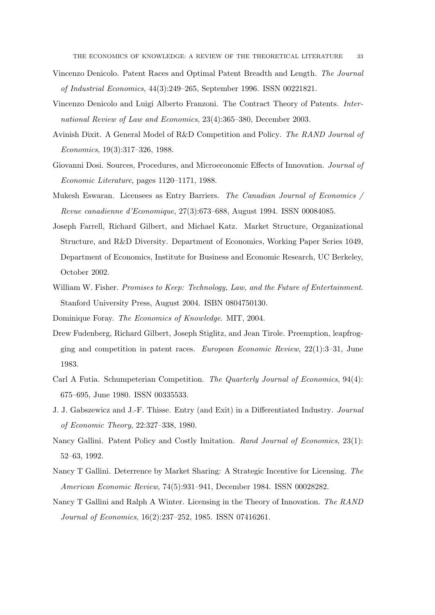- Vincenzo Denicolo. Patent Races and Optimal Patent Breadth and Length. The Journal of Industrial Economics, 44(3):249–265, September 1996. ISSN 00221821.
- Vincenzo Denicolo and Luigi Alberto Franzoni. The Contract Theory of Patents. International Review of Law and Economics, 23(4):365–380, December 2003.
- Avinish Dixit. A General Model of R&D Competition and Policy. The RAND Journal of Economics, 19(3):317–326, 1988.
- Giovanni Dosi. Sources, Procedures, and Microeconomic Effects of Innovation. Journal of Economic Literature, pages 1120–1171, 1988.
- Mukesh Eswaran. Licensees as Entry Barriers. The Canadian Journal of Economics / Revue canadienne d'Economique, 27(3):673–688, August 1994. ISSN 00084085.
- Joseph Farrell, Richard Gilbert, and Michael Katz. Market Structure, Organizational Structure, and R&D Diversity. Department of Economics, Working Paper Series 1049, Department of Economics, Institute for Business and Economic Research, UC Berkeley, October 2002.
- William W. Fisher. Promises to Keep: Technology, Law, and the Future of Entertainment. Stanford University Press, August 2004. ISBN 0804750130.
- Dominique Foray. The Economics of Knowledge. MIT, 2004.
- Drew Fudenberg, Richard Gilbert, Joseph Stiglitz, and Jean Tirole. Preemption, leapfrogging and competition in patent races. European Economic Review, 22(1):3–31, June 1983.
- Carl A Futia. Schumpeterian Competition. The Quarterly Journal of Economics, 94(4): 675–695, June 1980. ISSN 00335533.
- J. J. Gabszewicz and J.-F. Thisse. Entry (and Exit) in a Differentiated Industry. Journal of Economic Theory, 22:327–338, 1980.
- Nancy Gallini. Patent Policy and Costly Imitation. Rand Journal of Economics, 23(1): 52–63, 1992.
- Nancy T Gallini. Deterrence by Market Sharing: A Strategic Incentive for Licensing. The American Economic Review, 74(5):931–941, December 1984. ISSN 00028282.
- Nancy T Gallini and Ralph A Winter. Licensing in the Theory of Innovation. The RAND Journal of Economics, 16(2):237–252, 1985. ISSN 07416261.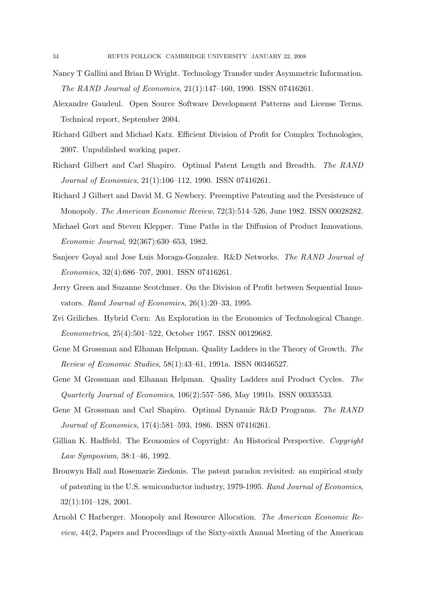- Nancy T Gallini and Brian D Wright. Technology Transfer under Asymmetric Information. The RAND Journal of Economics, 21(1):147–160, 1990. ISSN 07416261.
- Alexandre Gaudeul. Open Source Software Development Patterns and License Terms. Technical report, September 2004.
- Richard Gilbert and Michael Katz. Efficient Division of Profit for Complex Technologies, 2007. Unpublished working paper.
- Richard Gilbert and Carl Shapiro. Optimal Patent Length and Breadth. The RAND Journal of Economics, 21(1):106–112, 1990. ISSN 07416261.
- Richard J Gilbert and David M. G Newbery. Preemptive Patenting and the Persistence of Monopoly. The American Economic Review, 72(3):514–526, June 1982. ISSN 00028282.
- Michael Gort and Steven Klepper. Time Paths in the Diffusion of Product Innovations. Economic Journal, 92(367):630–653, 1982.
- Sanjeev Goyal and Jose Luis Moraga-Gonzalez. R&D Networks. The RAND Journal of Economics, 32(4):686–707, 2001. ISSN 07416261.
- Jerry Green and Suzanne Scotchmer. On the Division of Profit between Sequential Innovators. Rand Journal of Economics, 26(1):20–33, 1995.
- Zvi Griliches. Hybrid Corn: An Exploration in the Economics of Technological Change. Econometrica, 25(4):501–522, October 1957. ISSN 00129682.
- Gene M Grossman and Elhanan Helpman. Quality Ladders in the Theory of Growth. The Review of Economic Studies, 58(1):43–61, 1991a. ISSN 00346527.
- Gene M Grossman and Elhanan Helpman. Quality Ladders and Product Cycles. The Quarterly Journal of Economics, 106(2):557–586, May 1991b. ISSN 00335533.
- Gene M Grossman and Carl Shapiro. Optimal Dynamic R&D Programs. The RAND Journal of Economics, 17(4):581–593, 1986. ISSN 07416261.
- Gillian K. Hadfield. The Economics of Copyright: An Historical Perspective. Copyright Law Symposium, 38:1–46, 1992.
- Bronwyn Hall and Rosemarie Ziedonis. The patent paradox revisited: an empirical study of patenting in the U.S. semiconductor industry, 1979-1995. Rand Journal of Economics, 32(1):101–128, 2001.
- Arnold C Harberger. Monopoly and Resource Allocation. The American Economic Review, 44(2, Papers and Proceedings of the Sixty-sixth Annual Meeting of the American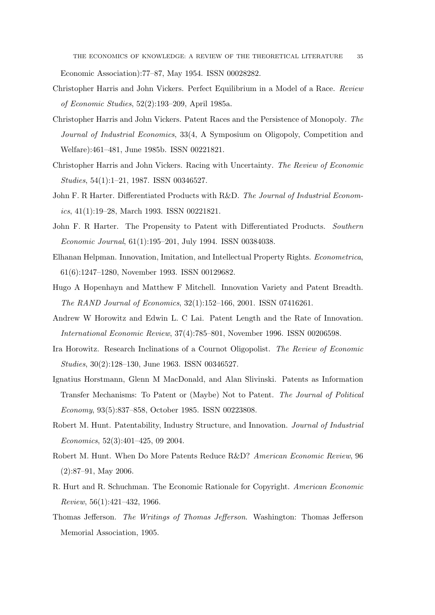Economic Association):77–87, May 1954. ISSN 00028282.

- Christopher Harris and John Vickers. Perfect Equilibrium in a Model of a Race. Review of Economic Studies, 52(2):193–209, April 1985a.
- Christopher Harris and John Vickers. Patent Races and the Persistence of Monopoly. The Journal of Industrial Economics, 33(4, A Symposium on Oligopoly, Competition and Welfare):461–481, June 1985b. ISSN 00221821.
- Christopher Harris and John Vickers. Racing with Uncertainty. The Review of Economic Studies, 54(1):1–21, 1987. ISSN 00346527.
- John F. R Harter. Differentiated Products with R&D. The Journal of Industrial Economics, 41(1):19–28, March 1993. ISSN 00221821.
- John F. R. Harter. The Propensity to Patent with Differentiated Products. Southern Economic Journal, 61(1):195–201, July 1994. ISSN 00384038.
- Elhanan Helpman. Innovation, Imitation, and Intellectual Property Rights. Econometrica, 61(6):1247–1280, November 1993. ISSN 00129682.
- Hugo A Hopenhayn and Matthew F Mitchell. Innovation Variety and Patent Breadth. The RAND Journal of Economics, 32(1):152–166, 2001. ISSN 07416261.
- Andrew W Horowitz and Edwin L. C Lai. Patent Length and the Rate of Innovation. International Economic Review, 37(4):785–801, November 1996. ISSN 00206598.
- Ira Horowitz. Research Inclinations of a Cournot Oligopolist. The Review of Economic Studies, 30(2):128–130, June 1963. ISSN 00346527.
- Ignatius Horstmann, Glenn M MacDonald, and Alan Slivinski. Patents as Information Transfer Mechanisms: To Patent or (Maybe) Not to Patent. The Journal of Political Economy, 93(5):837–858, October 1985. ISSN 00223808.
- Robert M. Hunt. Patentability, Industry Structure, and Innovation. Journal of Industrial Economics, 52(3):401–425, 09 2004.
- Robert M. Hunt. When Do More Patents Reduce R&D? American Economic Review, 96 (2):87–91, May 2006.
- R. Hurt and R. Schuchman. The Economic Rationale for Copyright. American Economic Review, 56(1):421–432, 1966.
- Thomas Jefferson. The Writings of Thomas Jefferson. Washington: Thomas Jefferson Memorial Association, 1905.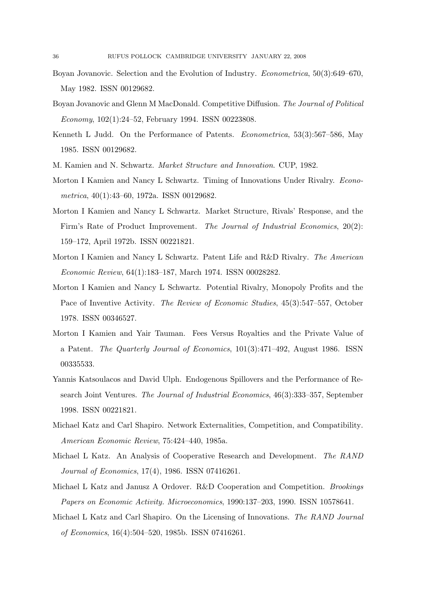- Boyan Jovanovic. Selection and the Evolution of Industry. Econometrica, 50(3):649–670, May 1982. ISSN 00129682.
- Boyan Jovanovic and Glenn M MacDonald. Competitive Diffusion. The Journal of Political Economy, 102(1):24–52, February 1994. ISSN 00223808.
- Kenneth L Judd. On the Performance of Patents. Econometrica, 53(3):567–586, May 1985. ISSN 00129682.
- M. Kamien and N. Schwartz. Market Structure and Innovation. CUP, 1982.
- Morton I Kamien and Nancy L Schwartz. Timing of Innovations Under Rivalry. Econometrica, 40(1):43–60, 1972a. ISSN 00129682.
- Morton I Kamien and Nancy L Schwartz. Market Structure, Rivals' Response, and the Firm's Rate of Product Improvement. The Journal of Industrial Economics, 20(2): 159–172, April 1972b. ISSN 00221821.
- Morton I Kamien and Nancy L Schwartz. Patent Life and R&D Rivalry. The American Economic Review, 64(1):183–187, March 1974. ISSN 00028282.
- Morton I Kamien and Nancy L Schwartz. Potential Rivalry, Monopoly Profits and the Pace of Inventive Activity. The Review of Economic Studies, 45(3):547–557, October 1978. ISSN 00346527.
- Morton I Kamien and Yair Tauman. Fees Versus Royalties and the Private Value of a Patent. The Quarterly Journal of Economics, 101(3):471–492, August 1986. ISSN 00335533.
- Yannis Katsoulacos and David Ulph. Endogenous Spillovers and the Performance of Research Joint Ventures. The Journal of Industrial Economics, 46(3):333–357, September 1998. ISSN 00221821.
- Michael Katz and Carl Shapiro. Network Externalities, Competition, and Compatibility. American Economic Review, 75:424–440, 1985a.
- Michael L Katz. An Analysis of Cooperative Research and Development. The RAND Journal of Economics, 17(4), 1986. ISSN 07416261.
- Michael L Katz and Janusz A Ordover. R&D Cooperation and Competition. Brookings Papers on Economic Activity. Microeconomics, 1990:137–203, 1990. ISSN 10578641.
- Michael L Katz and Carl Shapiro. On the Licensing of Innovations. The RAND Journal of Economics, 16(4):504–520, 1985b. ISSN 07416261.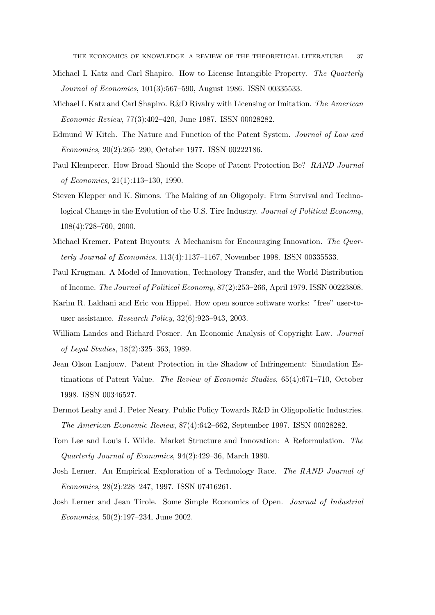- Michael L Katz and Carl Shapiro. How to License Intangible Property. The Quarterly Journal of Economics, 101(3):567–590, August 1986. ISSN 00335533.
- Michael L Katz and Carl Shapiro. R&D Rivalry with Licensing or Imitation. The American Economic Review, 77(3):402–420, June 1987. ISSN 00028282.
- Edmund W Kitch. The Nature and Function of the Patent System. Journal of Law and Economics, 20(2):265–290, October 1977. ISSN 00222186.
- Paul Klemperer. How Broad Should the Scope of Patent Protection Be? RAND Journal of Economics, 21(1):113–130, 1990.
- Steven Klepper and K. Simons. The Making of an Oligopoly: Firm Survival and Technological Change in the Evolution of the U.S. Tire Industry. Journal of Political Economy, 108(4):728–760, 2000.
- Michael Kremer. Patent Buyouts: A Mechanism for Encouraging Innovation. The Quarterly Journal of Economics, 113(4):1137–1167, November 1998. ISSN 00335533.
- Paul Krugman. A Model of Innovation, Technology Transfer, and the World Distribution of Income. The Journal of Political Economy, 87(2):253–266, April 1979. ISSN 00223808.
- Karim R. Lakhani and Eric von Hippel. How open source software works: "free" user-touser assistance. Research Policy, 32(6):923–943, 2003.
- William Landes and Richard Posner. An Economic Analysis of Copyright Law. *Journal* of Legal Studies, 18(2):325–363, 1989.
- Jean Olson Lanjouw. Patent Protection in the Shadow of Infringement: Simulation Estimations of Patent Value. The Review of Economic Studies, 65(4):671–710, October 1998. ISSN 00346527.
- Dermot Leahy and J. Peter Neary. Public Policy Towards R&D in Oligopolistic Industries. The American Economic Review, 87(4):642–662, September 1997. ISSN 00028282.
- Tom Lee and Louis L Wilde. Market Structure and Innovation: A Reformulation. The Quarterly Journal of Economics, 94(2):429–36, March 1980.
- Josh Lerner. An Empirical Exploration of a Technology Race. The RAND Journal of Economics, 28(2):228–247, 1997. ISSN 07416261.
- Josh Lerner and Jean Tirole. Some Simple Economics of Open. Journal of Industrial Economics, 50(2):197–234, June 2002.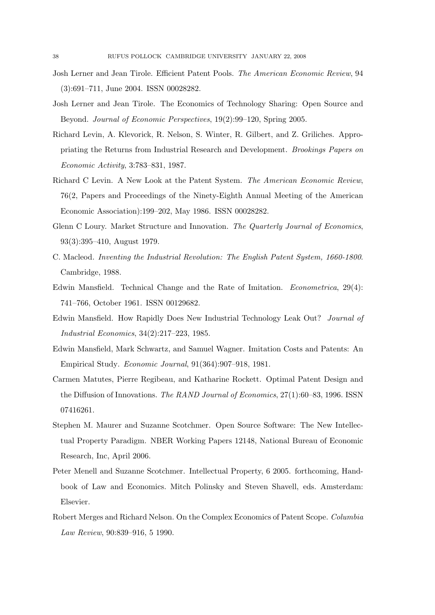- Josh Lerner and Jean Tirole. Efficient Patent Pools. The American Economic Review, 94 (3):691–711, June 2004. ISSN 00028282.
- Josh Lerner and Jean Tirole. The Economics of Technology Sharing: Open Source and Beyond. Journal of Economic Perspectives, 19(2):99–120, Spring 2005.
- Richard Levin, A. Klevorick, R. Nelson, S. Winter, R. Gilbert, and Z. Griliches. Appropriating the Returns from Industrial Research and Development. Brookings Papers on Economic Activity, 3:783–831, 1987.
- Richard C Levin. A New Look at the Patent System. The American Economic Review, 76(2, Papers and Proceedings of the Ninety-Eighth Annual Meeting of the American Economic Association):199–202, May 1986. ISSN 00028282.
- Glenn C Loury. Market Structure and Innovation. The Quarterly Journal of Economics, 93(3):395–410, August 1979.
- C. Macleod. Inventing the Industrial Revolution: The English Patent System, 1660-1800. Cambridge, 1988.
- Edwin Mansfield. Technical Change and the Rate of Imitation. Econometrica, 29(4): 741–766, October 1961. ISSN 00129682.
- Edwin Mansfield. How Rapidly Does New Industrial Technology Leak Out? Journal of Industrial Economics, 34(2):217–223, 1985.
- Edwin Mansfield, Mark Schwartz, and Samuel Wagner. Imitation Costs and Patents: An Empirical Study. Economic Journal, 91(364):907–918, 1981.
- Carmen Matutes, Pierre Regibeau, and Katharine Rockett. Optimal Patent Design and the Diffusion of Innovations. The RAND Journal of Economics, 27(1):60–83, 1996. ISSN 07416261.
- Stephen M. Maurer and Suzanne Scotchmer. Open Source Software: The New Intellectual Property Paradigm. NBER Working Papers 12148, National Bureau of Economic Research, Inc, April 2006.
- Peter Menell and Suzanne Scotchmer. Intellectual Property, 6 2005. forthcoming, Handbook of Law and Economics. Mitch Polinsky and Steven Shavell, eds. Amsterdam: Elsevier.
- Robert Merges and Richard Nelson. On the Complex Economics of Patent Scope. Columbia Law Review, 90:839–916, 5 1990.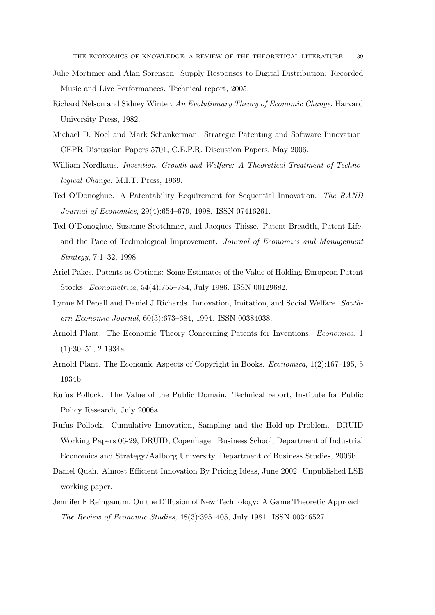- Julie Mortimer and Alan Sorenson. Supply Responses to Digital Distribution: Recorded Music and Live Performances. Technical report, 2005.
- Richard Nelson and Sidney Winter. An Evolutionary Theory of Economic Change. Harvard University Press, 1982.
- Michael D. Noel and Mark Schankerman. Strategic Patenting and Software Innovation. CEPR Discussion Papers 5701, C.E.P.R. Discussion Papers, May 2006.
- William Nordhaus. *Invention, Growth and Welfare: A Theoretical Treatment of Techno*logical Change. M.I.T. Press, 1969.
- Ted O'Donoghue. A Patentability Requirement for Sequential Innovation. The RAND Journal of Economics, 29(4):654–679, 1998. ISSN 07416261.
- Ted O'Donoghue, Suzanne Scotchmer, and Jacques Thisse. Patent Breadth, Patent Life, and the Pace of Technological Improvement. Journal of Economics and Management Strategy, 7:1–32, 1998.
- Ariel Pakes. Patents as Options: Some Estimates of the Value of Holding European Patent Stocks. Econometrica, 54(4):755–784, July 1986. ISSN 00129682.
- Lynne M Pepall and Daniel J Richards. Innovation, Imitation, and Social Welfare. Southern Economic Journal, 60(3):673–684, 1994. ISSN 00384038.
- Arnold Plant. The Economic Theory Concerning Patents for Inventions. Economica, 1 (1):30–51, 2 1934a.
- Arnold Plant. The Economic Aspects of Copyright in Books. Economica, 1(2):167–195, 5 1934b.
- Rufus Pollock. The Value of the Public Domain. Technical report, Institute for Public Policy Research, July 2006a.
- Rufus Pollock. Cumulative Innovation, Sampling and the Hold-up Problem. DRUID Working Papers 06-29, DRUID, Copenhagen Business School, Department of Industrial Economics and Strategy/Aalborg University, Department of Business Studies, 2006b.
- Daniel Quah. Almost Efficient Innovation By Pricing Ideas, June 2002. Unpublished LSE working paper.
- Jennifer F Reinganum. On the Diffusion of New Technology: A Game Theoretic Approach. The Review of Economic Studies, 48(3):395–405, July 1981. ISSN 00346527.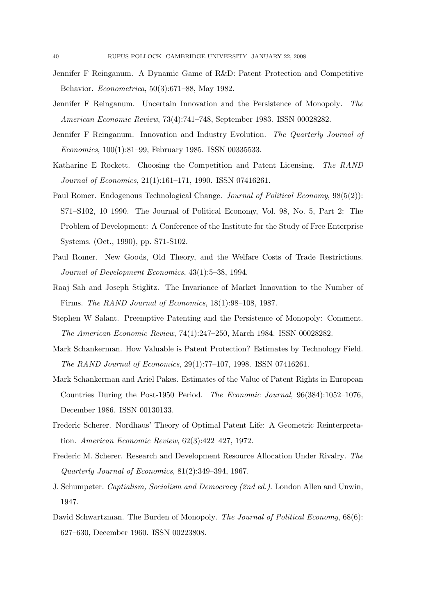- Jennifer F Reinganum. A Dynamic Game of R&D: Patent Protection and Competitive Behavior. Econometrica, 50(3):671–88, May 1982.
- Jennifer F Reinganum. Uncertain Innovation and the Persistence of Monopoly. The American Economic Review, 73(4):741–748, September 1983. ISSN 00028282.
- Jennifer F Reinganum. Innovation and Industry Evolution. The Quarterly Journal of Economics, 100(1):81–99, February 1985. ISSN 00335533.
- Katharine E Rockett. Choosing the Competition and Patent Licensing. The RAND Journal of Economics, 21(1):161–171, 1990. ISSN 07416261.
- Paul Romer. Endogenous Technological Change. Journal of Political Economy,  $98(5(2))$ : S71–S102, 10 1990. The Journal of Political Economy, Vol. 98, No. 5, Part 2: The Problem of Development: A Conference of the Institute for the Study of Free Enterprise Systems. (Oct., 1990), pp. S71-S102.
- Paul Romer. New Goods, Old Theory, and the Welfare Costs of Trade Restrictions. Journal of Development Economics, 43(1):5–38, 1994.
- Raaj Sah and Joseph Stiglitz. The Invariance of Market Innovation to the Number of Firms. The RAND Journal of Economics, 18(1):98–108, 1987.
- Stephen W Salant. Preemptive Patenting and the Persistence of Monopoly: Comment. The American Economic Review, 74(1):247–250, March 1984. ISSN 00028282.
- Mark Schankerman. How Valuable is Patent Protection? Estimates by Technology Field. The RAND Journal of Economics, 29(1):77–107, 1998. ISSN 07416261.
- Mark Schankerman and Ariel Pakes. Estimates of the Value of Patent Rights in European Countries During the Post-1950 Period. The Economic Journal, 96(384):1052–1076, December 1986. ISSN 00130133.
- Frederic Scherer. Nordhaus' Theory of Optimal Patent Life: A Geometric Reinterpretation. American Economic Review, 62(3):422–427, 1972.
- Frederic M. Scherer. Research and Development Resource Allocation Under Rivalry. The Quarterly Journal of Economics, 81(2):349–394, 1967.
- J. Schumpeter. Captialism, Socialism and Democracy (2nd ed.). London Allen and Unwin, 1947.
- David Schwartzman. The Burden of Monopoly. The Journal of Political Economy,  $68(6)$ : 627–630, December 1960. ISSN 00223808.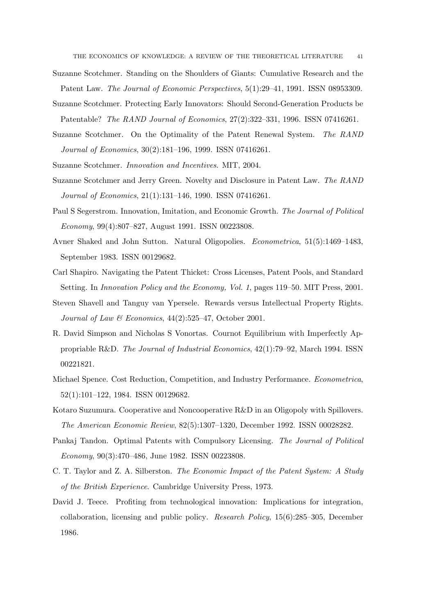- Suzanne Scotchmer. Standing on the Shoulders of Giants: Cumulative Research and the Patent Law. The Journal of Economic Perspectives, 5(1):29–41, 1991. ISSN 08953309.
- Suzanne Scotchmer. Protecting Early Innovators: Should Second-Generation Products be Patentable? The RAND Journal of Economics, 27(2):322–331, 1996. ISSN 07416261.
- Suzanne Scotchmer. On the Optimality of the Patent Renewal System. The RAND Journal of Economics, 30(2):181–196, 1999. ISSN 07416261.
- Suzanne Scotchmer. Innovation and Incentives. MIT, 2004.
- Suzanne Scotchmer and Jerry Green. Novelty and Disclosure in Patent Law. The RAND Journal of Economics, 21(1):131–146, 1990. ISSN 07416261.
- Paul S Segerstrom. Innovation, Imitation, and Economic Growth. The Journal of Political Economy, 99(4):807–827, August 1991. ISSN 00223808.
- Avner Shaked and John Sutton. Natural Oligopolies. Econometrica, 51(5):1469–1483, September 1983. ISSN 00129682.
- Carl Shapiro. Navigating the Patent Thicket: Cross Licenses, Patent Pools, and Standard Setting. In Innovation Policy and the Economy, Vol. 1, pages 119–50. MIT Press, 2001.
- Steven Shavell and Tanguy van Ypersele. Rewards versus Intellectual Property Rights. Journal of Law & Economics,  $44(2):525-47$ , October 2001.
- R. David Simpson and Nicholas S Vonortas. Cournot Equilibrium with Imperfectly Appropriable R&D. The Journal of Industrial Economics, 42(1):79–92, March 1994. ISSN 00221821.
- Michael Spence. Cost Reduction, Competition, and Industry Performance. Econometrica, 52(1):101–122, 1984. ISSN 00129682.
- Kotaro Suzumura. Cooperative and Noncooperative R&D in an Oligopoly with Spillovers. The American Economic Review, 82(5):1307–1320, December 1992. ISSN 00028282.
- Pankaj Tandon. Optimal Patents with Compulsory Licensing. The Journal of Political Economy, 90(3):470–486, June 1982. ISSN 00223808.
- C. T. Taylor and Z. A. Silberston. The Economic Impact of the Patent System: A Study of the British Experience. Cambridge University Press, 1973.
- David J. Teece. Profiting from technological innovation: Implications for integration, collaboration, licensing and public policy. Research Policy, 15(6):285–305, December 1986.